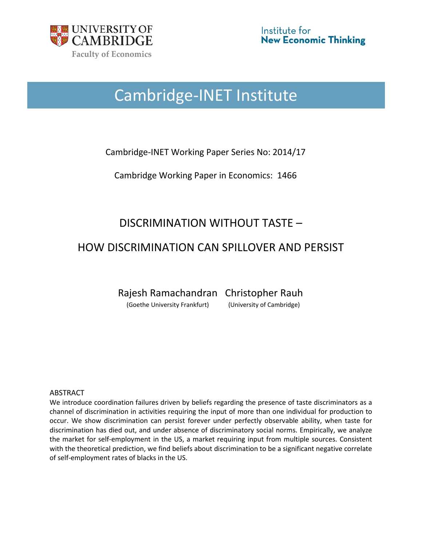

# Cambridge-INET Institute

Cambridge-INET Working Paper Series No: 2014/17

Cambridge Working Paper in Economics: 1466

# DISCRIMINATION WITHOUT TASTE –

## HOW DISCRIMINATION CAN SPILLOVER AND PERSIST

Rajesh Ramachandran Christopher Rauh

(Goethe University Frankfurt) (University of Cambridge)

#### ABSTRACT

We introduce coordination failures driven by beliefs regarding the presence of taste discriminators as a channel of discrimination in activities requiring the input of more than one individual for production to occur. We show discrimination can persist forever under perfectly observable ability, when taste for discrimination has died out, and under absence of discriminatory social norms. Empirically, we analyze the market for self-employment in the US, a market requiring input from multiple sources. Consistent with the theoretical prediction, we find beliefs about discrimination to be a significant negative correlate of self-employment rates of blacks in the US.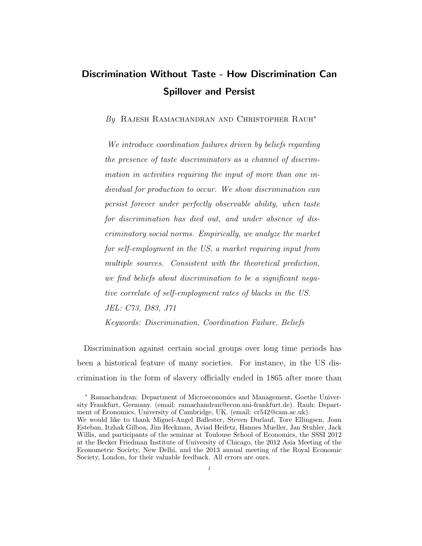# Discrimination Without Taste - How Discrimination Can Spillover and Persist

By RAJESH RAMACHANDRAN AND CHRISTOPHER RAUH<sup>\*</sup>

We introduce coordination failures driven by beliefs regarding the presence of taste discriminators as a channel of discrimination in activities requiring the input of more than one individual for production to occur. We show discrimination can persist forever under perfectly observable ability, when taste for discrimination has died out, and under absence of discriminatory social norms. Empirically, we analyze the market for self-employment in the US, a market requiring input from multiple sources. Consistent with the theoretical prediction, we find beliefs about discrimination to be a significant negative correlate of self-employment rates of blacks in the US. JEL: C73, D83, J71 Keywords: Discrimination, Coordination Failure, Beliefs

Discrimination against certain social groups over long time periods has been a historical feature of many societies. For instance, in the US discrimination in the form of slavery officially ended in 1865 after more than

<sup>∗</sup> Ramachandran: Department of Microeconomics and Management, Goethe University Frankfurt, Germany. (email: ramachandran@econ.uni-frankfurt.de). Rauh: Department of Economics, University of Cambridge, UK. (email: cr542@cam.ac.uk). We would like to thank Miguel-Angel Ballester, Steven Durlauf, Tore Ellingsen, Joan Esteban, Itzhak Gilboa, Jim Heckman, Aviad Heifetz, Hannes Mueller, Jan Stuhler, Jack Willis, and participants of the seminar at Toulouse School of Economics, the SSSI 2012 at the Becker Friedman Institute of University of Chicago, the 2012 Asia Meeting of the Econometric Society, New Delhi, and the 2013 annual meeting of the Royal Economic Society, London, for their valuable feedback. All errors are ours.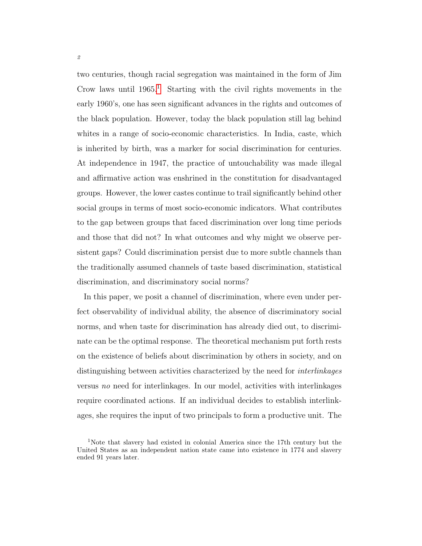two centuries, though racial segregation was maintained in the form of Jim Crow laws until  $1965<sup>1</sup>$  $1965<sup>1</sup>$  Starting with the civil rights movements in the early 1960's, one has seen significant advances in the rights and outcomes of the black population. However, today the black population still lag behind whites in a range of socio-economic characteristics. In India, caste, which is inherited by birth, was a marker for social discrimination for centuries. At independence in 1947, the practice of untouchability was made illegal and affirmative action was enshrined in the constitution for disadvantaged groups. However, the lower castes continue to trail significantly behind other social groups in terms of most socio-economic indicators. What contributes to the gap between groups that faced discrimination over long time periods and those that did not? In what outcomes and why might we observe persistent gaps? Could discrimination persist due to more subtle channels than the traditionally assumed channels of taste based discrimination, statistical discrimination, and discriminatory social norms?

In this paper, we posit a channel of discrimination, where even under perfect observability of individual ability, the absence of discriminatory social norms, and when taste for discrimination has already died out, to discriminate can be the optimal response. The theoretical mechanism put forth rests on the existence of beliefs about discrimination by others in society, and on distinguishing between activities characterized by the need for interlinkages versus no need for interlinkages. In our model, activities with interlinkages require coordinated actions. If an individual decides to establish interlinkages, she requires the input of two principals to form a productive unit. The

<span id="page-2-0"></span><sup>1</sup>Note that slavery had existed in colonial America since the 17th century but the United States as an independent nation state came into existence in 1774 and slavery ended 91 years later.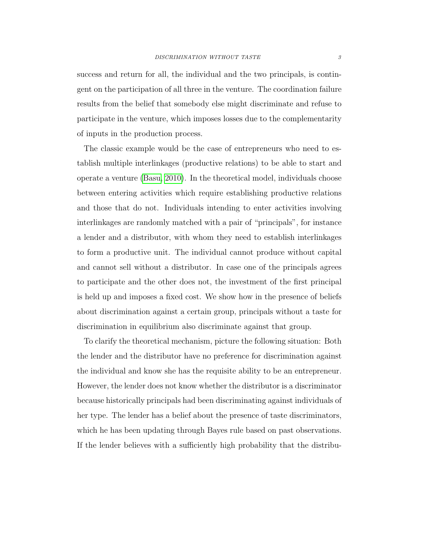success and return for all, the individual and the two principals, is contingent on the participation of all three in the venture. The coordination failure results from the belief that somebody else might discriminate and refuse to participate in the venture, which imposes losses due to the complementarity of inputs in the production process.

The classic example would be the case of entrepreneurs who need to establish multiple interlinkages (productive relations) to be able to start and operate a venture [\(Basu, 2010\)](#page-45-0). In the theoretical model, individuals choose between entering activities which require establishing productive relations and those that do not. Individuals intending to enter activities involving interlinkages are randomly matched with a pair of "principals", for instance a lender and a distributor, with whom they need to establish interlinkages to form a productive unit. The individual cannot produce without capital and cannot sell without a distributor. In case one of the principals agrees to participate and the other does not, the investment of the first principal is held up and imposes a fixed cost. We show how in the presence of beliefs about discrimination against a certain group, principals without a taste for discrimination in equilibrium also discriminate against that group.

To clarify the theoretical mechanism, picture the following situation: Both the lender and the distributor have no preference for discrimination against the individual and know she has the requisite ability to be an entrepreneur. However, the lender does not know whether the distributor is a discriminator because historically principals had been discriminating against individuals of her type. The lender has a belief about the presence of taste discriminators, which he has been updating through Bayes rule based on past observations. If the lender believes with a sufficiently high probability that the distribu-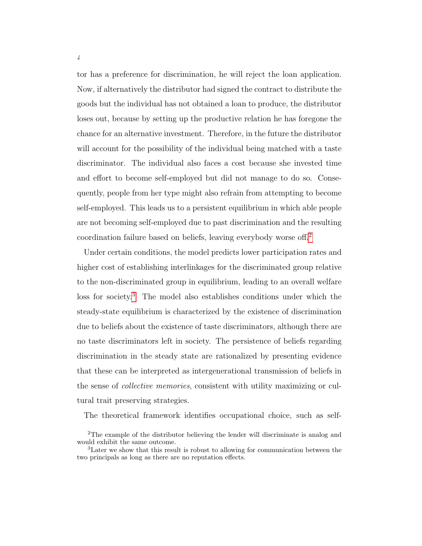tor has a preference for discrimination, he will reject the loan application. Now, if alternatively the distributor had signed the contract to distribute the goods but the individual has not obtained a loan to produce, the distributor loses out, because by setting up the productive relation he has foregone the chance for an alternative investment. Therefore, in the future the distributor will account for the possibility of the individual being matched with a taste discriminator. The individual also faces a cost because she invested time and effort to become self-employed but did not manage to do so. Consequently, people from her type might also refrain from attempting to become self-employed. This leads us to a persistent equilibrium in which able people are not becoming self-employed due to past discrimination and the resulting coordination failure based on beliefs, leaving everybody worse off.[2](#page-4-0)

Under certain conditions, the model predicts lower participation rates and higher cost of establishing interlinkages for the discriminated group relative to the non-discriminated group in equilibrium, leading to an overall welfare loss for society.[3](#page-4-1) The model also establishes conditions under which the steady-state equilibrium is characterized by the existence of discrimination due to beliefs about the existence of taste discriminators, although there are no taste discriminators left in society. The persistence of beliefs regarding discrimination in the steady state are rationalized by presenting evidence that these can be interpreted as intergenerational transmission of beliefs in the sense of collective memories, consistent with utility maximizing or cultural trait preserving strategies.

The theoretical framework identifies occupational choice, such as self-

<span id="page-4-0"></span><sup>2</sup>The example of the distributor believing the lender will discriminate is analog and would exhibit the same outcome.

<span id="page-4-1"></span><sup>3</sup>Later we show that this result is robust to allowing for communication between the two principals as long as there are no reputation effects.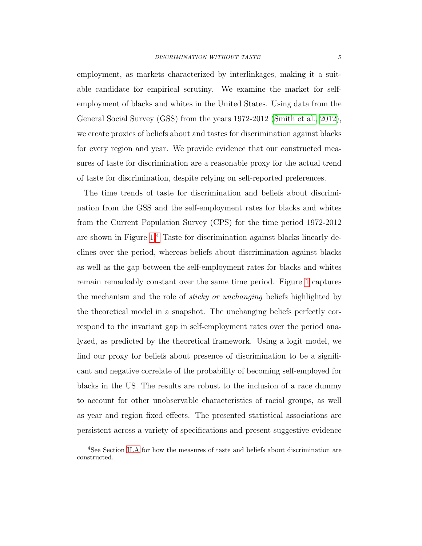employment, as markets characterized by interlinkages, making it a suitable candidate for empirical scrutiny. We examine the market for selfemployment of blacks and whites in the United States. Using data from the General Social Survey (GSS) from the years 1972-2012 [\(Smith et al., 2012\)](#page-48-0), we create proxies of beliefs about and tastes for discrimination against blacks for every region and year. We provide evidence that our constructed measures of taste for discrimination are a reasonable proxy for the actual trend of taste for discrimination, despite relying on self-reported preferences.

The time trends of taste for discrimination and beliefs about discrimination from the GSS and the self-employment rates for blacks and whites from the Current Population Survey (CPS) for the time period 1972-2012 are shown in Figure  $1<sup>4</sup>$  $1<sup>4</sup>$  $1<sup>4</sup>$  Taste for discrimination against blacks linearly declines over the period, whereas beliefs about discrimination against blacks as well as the gap between the self-employment rates for blacks and whites remain remarkably constant over the same time period. Figure [1](#page-6-0) captures the mechanism and the role of *sticky or unchanging* beliefs highlighted by the theoretical model in a snapshot. The unchanging beliefs perfectly correspond to the invariant gap in self-employment rates over the period analyzed, as predicted by the theoretical framework. Using a logit model, we find our proxy for beliefs about presence of discrimination to be a significant and negative correlate of the probability of becoming self-employed for blacks in the US. The results are robust to the inclusion of a race dummy to account for other unobservable characteristics of racial groups, as well as year and region fixed effects. The presented statistical associations are persistent across a variety of specifications and present suggestive evidence

<span id="page-5-0"></span><sup>4</sup>See Section [II.A](#page-30-0) for how the measures of taste and beliefs about discrimination are constructed.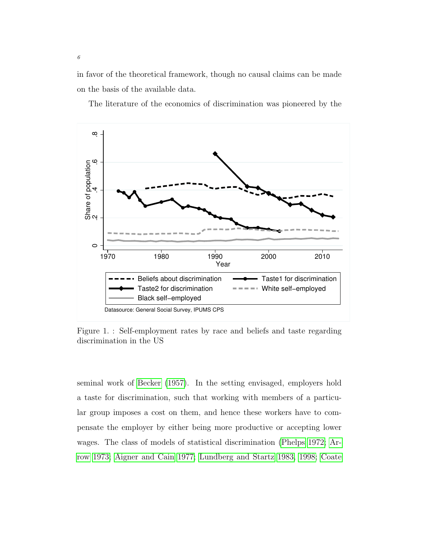in favor of the theoretical framework, though no causal claims can be made on the basis of the available data.

The literature of the economics of discrimination was pioneered by the

<span id="page-6-0"></span>

Figure 1. : Self-employment rates by race and beliefs and taste regarding discrimination in the US

seminal work of [Becker](#page-45-1) [\(1957\)](#page-45-1). In the setting envisaged, employers hold a taste for discrimination, such that working with members of a particular group imposes a cost on them, and hence these workers have to compensate the employer by either being more productive or accepting lower wages. The class of models of statistical discrimination [\(Phelps 1972;](#page-48-1) [Ar](#page-44-0)[row 1973;](#page-44-0) [Aigner and Cain 1977;](#page-44-1) [Lundberg and Startz 1983,](#page-47-0) [1998;](#page-48-2) [Coate](#page-46-0)

6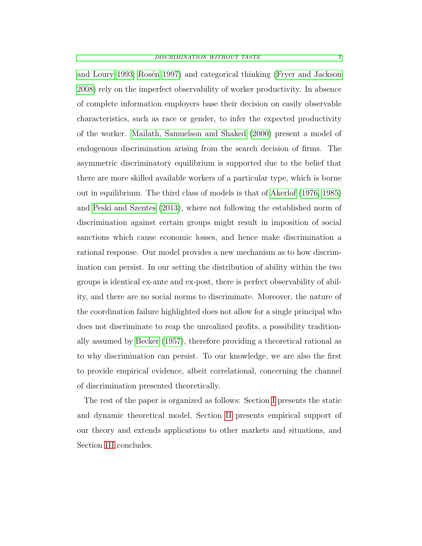[and Loury 1993;](#page-46-0) Rosén 1997) and categorical thinking [\(Fryer and Jackson](#page-46-1) [2008\)](#page-46-1) rely on the imperfect observability of worker productivity. In absence of complete information employers base their decision on easily observable characteristics, such as race or gender, to infer the expected productivity of the worker. [Mailath, Samuelson and Shaked](#page-48-4) [\(2000\)](#page-48-4) present a model of endogenous discrimination arising from the search decision of firms. The asymmetric discriminatory equilibrium is supported due to the belief that there are more skilled available workers of a particular type, which is borne out in equilibrium. The third class of models is that of [Akerlof](#page-44-2) [\(1976,](#page-44-2) [1985\)](#page-44-3) and [Peski and Szentes](#page-48-5) [\(2013\)](#page-48-5), where not following the established norm of discrimination against certain groups might result in imposition of social sanctions which cause economic losses, and hence make discrimination a rational response. Our model provides a new mechanism as to how discrimination can persist. In our setting the distribution of ability within the two groups is identical ex-ante and ex-post, there is perfect observability of ability, and there are no social norms to discriminate. Moreover, the nature of the coordination failure highlighted does not allow for a single principal who does not discriminate to reap the unrealized profits, a possibility traditionally assumed by [Becker](#page-45-1) [\(1957\)](#page-45-1), therefore providing a theoretical rational as to why discrimination can persist. To our knowledge, we are also the first to provide empirical evidence, albeit correlational, concerning the channel of discrimination presented theoretically.

<span id="page-7-0"></span>The rest of the paper is organized as follows: Section [I](#page-7-0) presents the static and dynamic theoretical model, Section [II](#page-29-0) presents empirical support of our theory and extends applications to other markets and situations, and Section [III](#page-38-0) concludes.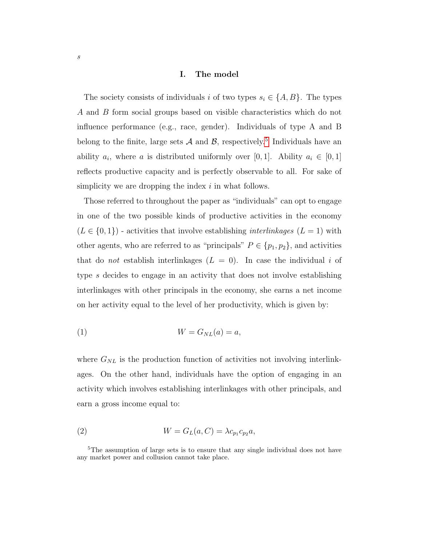#### I. The model

The society consists of individuals i of two types  $s_i \in \{A, B\}$ . The types A and B form social groups based on visible characteristics which do not influence performance (e.g., race, gender). Individuals of type A and B belong to the finite, large sets  $A$  and  $B$ , respectively.<sup>[5](#page-8-0)</sup> Individuals have an ability  $a_i$ , where a is distributed uniformly over [0, 1]. Ability  $a_i \in [0,1]$ reflects productive capacity and is perfectly observable to all. For sake of simplicity we are dropping the index  $i$  in what follows.

Those referred to throughout the paper as "individuals" can opt to engage in one of the two possible kinds of productive activities in the economy  $(L \in \{0,1\})$  - activities that involve establishing *interlinkages*  $(L = 1)$  with other agents, who are referred to as "principals"  $P \in \{p_1, p_2\}$ , and activities that do *not* establish interlinkages  $(L = 0)$ . In case the individual i of type s decides to engage in an activity that does not involve establishing interlinkages with other principals in the economy, she earns a net income on her activity equal to the level of her productivity, which is given by:

$$
(1) \t\t W = G_{NL}(a) = a,
$$

where  $G_{NL}$  is the production function of activities not involving interlinkages. On the other hand, individuals have the option of engaging in an activity which involves establishing interlinkages with other principals, and earn a gross income equal to:

<span id="page-8-1"></span>(2) 
$$
W = G_L(a, C) = \lambda c_{p_1} c_{p_2} a,
$$

<span id="page-8-0"></span><sup>&</sup>lt;sup>5</sup>The assumption of large sets is to ensure that any single individual does not have any market power and collusion cannot take place.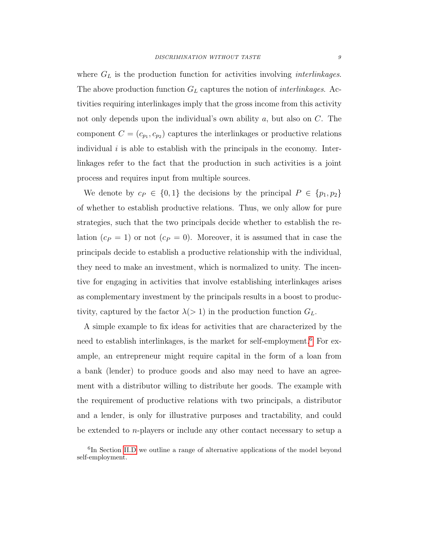where  $G_L$  is the production function for activities involving *interlinkages*. The above production function  $G_L$  captures the notion of *interlinkages*. Activities requiring interlinkages imply that the gross income from this activity not only depends upon the individual's own ability a, but also on C. The component  $C = (c_{p_1}, c_{p_2})$  captures the interlinkages or productive relations individual  $i$  is able to establish with the principals in the economy. Interlinkages refer to the fact that the production in such activities is a joint process and requires input from multiple sources.

We denote by  $c_P \in \{0,1\}$  the decisions by the principal  $P \in \{p_1, p_2\}$ of whether to establish productive relations. Thus, we only allow for pure strategies, such that the two principals decide whether to establish the relation  $(c_P = 1)$  or not  $(c_P = 0)$ . Moreover, it is assumed that in case the principals decide to establish a productive relationship with the individual, they need to make an investment, which is normalized to unity. The incentive for engaging in activities that involve establishing interlinkages arises as complementary investment by the principals results in a boost to productivity, captured by the factor  $\lambda$ (> 1) in the production function  $G_L$ .

A simple example to fix ideas for activities that are characterized by the need to establish interlinkages, is the market for self-employment.<sup>[6](#page-9-0)</sup> For example, an entrepreneur might require capital in the form of a loan from a bank (lender) to produce goods and also may need to have an agreement with a distributor willing to distribute her goods. The example with the requirement of productive relations with two principals, a distributor and a lender, is only for illustrative purposes and tractability, and could be extended to n-players or include any other contact necessary to setup a

<span id="page-9-0"></span><sup>&</sup>lt;sup>6</sup>In Section [II.D](#page-36-0) we outline a range of alternative applications of the model beyond self-employment.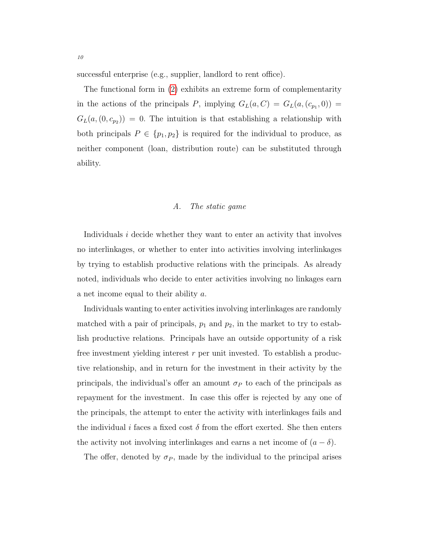successful enterprise (e.g., supplier, landlord to rent office).

The functional form in [\(2\)](#page-8-1) exhibits an extreme form of complementarity in the actions of the principals P, implying  $G_L(a, C) = G_L(a, (c_{p_1}, 0)) =$  $G_L(a,(0,c_{p_2})) = 0.$  The intuition is that establishing a relationship with both principals  $P \in \{p_1, p_2\}$  is required for the individual to produce, as neither component (loan, distribution route) can be substituted through ability.

#### A. The static game

Individuals *i* decide whether they want to enter an activity that involves no interlinkages, or whether to enter into activities involving interlinkages by trying to establish productive relations with the principals. As already noted, individuals who decide to enter activities involving no linkages earn a net income equal to their ability a.

Individuals wanting to enter activities involving interlinkages are randomly matched with a pair of principals,  $p_1$  and  $p_2$ , in the market to try to establish productive relations. Principals have an outside opportunity of a risk free investment yielding interest  $r$  per unit invested. To establish a productive relationship, and in return for the investment in their activity by the principals, the individual's offer an amount  $\sigma_P$  to each of the principals as repayment for the investment. In case this offer is rejected by any one of the principals, the attempt to enter the activity with interlinkages fails and the individual i faces a fixed cost  $\delta$  from the effort exerted. She then enters the activity not involving interlinkages and earns a net income of  $(a - \delta)$ .

The offer, denoted by  $\sigma_P$ , made by the individual to the principal arises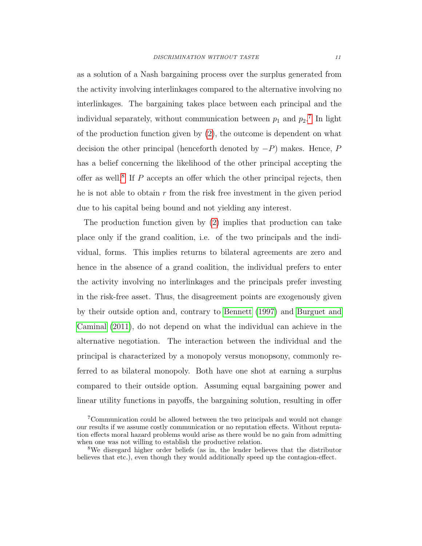as a solution of a Nash bargaining process over the surplus generated from the activity involving interlinkages compared to the alternative involving no interlinkages. The bargaining takes place between each principal and the individual separately, without communication between  $p_1$  and  $p_2$ <sup>[7](#page-11-0)</sup>. In light of the production function given by  $(2)$ , the outcome is dependent on what decision the other principal (henceforth denoted by  $-P$ ) makes. Hence, P has a belief concerning the likelihood of the other principal accepting the offer as well.<sup>[8](#page-11-1)</sup> If  $P$  accepts an offer which the other principal rejects, then he is not able to obtain  $r$  from the risk free investment in the given period due to his capital being bound and not yielding any interest.

The production function given by [\(2\)](#page-8-1) implies that production can take place only if the grand coalition, i.e. of the two principals and the individual, forms. This implies returns to bilateral agreements are zero and hence in the absence of a grand coalition, the individual prefers to enter the activity involving no interlinkages and the principals prefer investing in the risk-free asset. Thus, the disagreement points are exogenously given by their outside option and, contrary to [Bennett](#page-45-2) [\(1997\)](#page-45-2) and [Burguet and](#page-45-3) [Caminal](#page-45-3) [\(2011\)](#page-45-3), do not depend on what the individual can achieve in the alternative negotiation. The interaction between the individual and the principal is characterized by a monopoly versus monopsony, commonly referred to as bilateral monopoly. Both have one shot at earning a surplus compared to their outside option. Assuming equal bargaining power and linear utility functions in payoffs, the bargaining solution, resulting in offer

<span id="page-11-0"></span><sup>7</sup>Communication could be allowed between the two principals and would not change our results if we assume costly communication or no reputation effects. Without reputation effects moral hazard problems would arise as there would be no gain from admitting when one was not willing to establish the productive relation.

<span id="page-11-1"></span><sup>8</sup>We disregard higher order beliefs (as in, the lender believes that the distributor believes that etc.), even though they would additionally speed up the contagion-effect.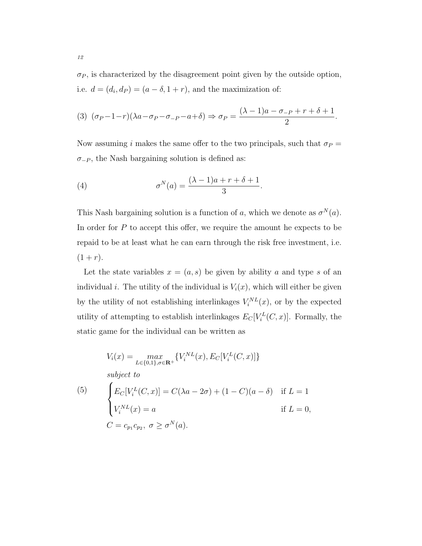$\sigma_P$ , is characterized by the disagreement point given by the outside option, i.e.  $d = (d_i, d_P) = (a - \delta, 1 + r)$ , and the maximization of:

(3) 
$$
(\sigma_P - 1 - r)(\lambda a - \sigma_P - \sigma_{-P} - a + \delta) \Rightarrow \sigma_P = \frac{(\lambda - 1)a - \sigma_{-P} + r + \delta + 1}{2}
$$
.

Now assuming i makes the same offer to the two principals, such that  $\sigma_P =$  $\sigma_{-P}$ , the Nash bargaining solution is defined as:

<span id="page-12-1"></span>(4) 
$$
\sigma^N(a) = \frac{(\lambda - 1)a + r + \delta + 1}{3}.
$$

This Nash bargaining solution is a function of a, which we denote as  $\sigma^{N}(a)$ . In order for  $P$  to accept this offer, we require the amount he expects to be repaid to be at least what he can earn through the risk free investment, i.e.  $(1 + r).$ 

Let the state variables  $x = (a, s)$  be given by ability a and type s of an individual *i*. The utility of the individual is  $V_i(x)$ , which will either be given by the utility of not establishing interlinkages  $V_i^{NL}(x)$ , or by the expected utility of attempting to establish interlinkages  $E_C[V_i^L(C, x)]$ . Formally, the static game for the individual can be written as

<span id="page-12-0"></span>
$$
V_i(x) = \max_{L \in \{0,1\}, \sigma \in \mathbf{R}^+} \{V_i^{NL}(x), E_C[V_i^L(C, x)]\}
$$
  
subject to  

$$
\begin{cases}\nE_C[V_i^L(C, x)] = C(\lambda a - 2\sigma) + (1 - C)(a - \delta) & \text{if } L = 1 \\
V_i^{NL}(x) = a & \text{if } L = 0, \\
C = c_{p_1}c_{p_2}, \sigma \ge \sigma^N(a).\n\end{cases}
$$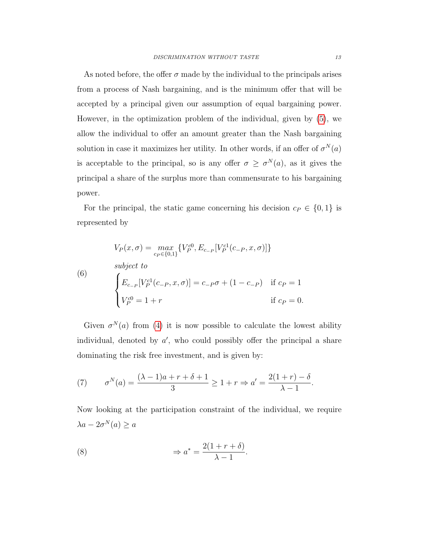As noted before, the offer  $\sigma$  made by the individual to the principals arises from a process of Nash bargaining, and is the minimum offer that will be accepted by a principal given our assumption of equal bargaining power. However, in the optimization problem of the individual, given by [\(5\)](#page-12-0), we allow the individual to offer an amount greater than the Nash bargaining solution in case it maximizes her utility. In other words, if an offer of  $\sigma^{N}(a)$ is acceptable to the principal, so is any offer  $\sigma \geq \sigma^{N}(a)$ , as it gives the principal a share of the surplus more than commensurate to his bargaining power.

For the principal, the static game concerning his decision  $c_P \in \{0, 1\}$  is represented by

(6)  
\n
$$
V_P(x, \sigma) = \max_{c_P \in \{0, 1\}} \{ V_P^{c0}, E_{c_{-P}}[V_P^{c1}(c_{-P}, x, \sigma)] \}
$$
\nsubject to  
\n
$$
\begin{cases}\nE_{c_{-P}}[V_P^{c1}(c_{-P}, x, \sigma)] = c_{-P}\sigma + (1 - c_{-P}) & \text{if } c_P = 1 \\
V_P^{c0} = 1 + r & \text{if } c_P = 0.\n\end{cases}
$$

Given  $\sigma^{N}(a)$  from [\(4\)](#page-12-1) it is now possible to calculate the lowest ability individual, denoted by  $a'$ , who could possibly offer the principal a share dominating the risk free investment, and is given by:

(7) 
$$
\sigma^{N}(a) = \frac{(\lambda - 1)a + r + \delta + 1}{3} \ge 1 + r \Rightarrow a' = \frac{2(1 + r) - \delta}{\lambda - 1}.
$$

Now looking at the participation constraint of the individual, we require  $\lambda a - 2\sigma^N(a) \geq a$ 

<span id="page-13-0"></span>(8) 
$$
\Rightarrow a^* = \frac{2(1+r+\delta)}{\lambda-1}.
$$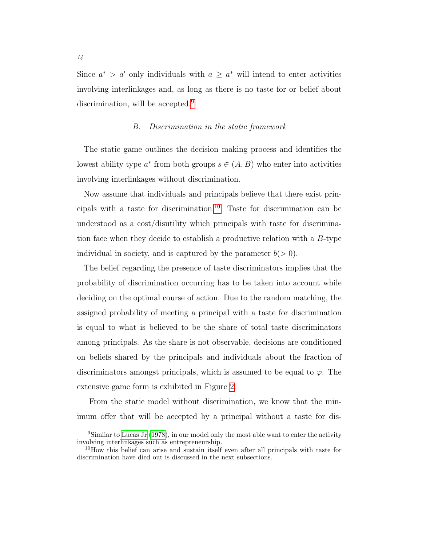Since  $a^* > a'$  only individuals with  $a \geq a^*$  will intend to enter activities involving interlinkages and, as long as there is no taste for or belief about discrimination, will be accepted.<sup>[9](#page-14-0)</sup>

#### B. Discrimination in the static framework

The static game outlines the decision making process and identifies the lowest ability type  $a^*$  from both groups  $s \in (A, B)$  who enter into activities involving interlinkages without discrimination.

Now assume that individuals and principals believe that there exist prin-cipals with a taste for discrimination.<sup>[10](#page-14-1)</sup> Taste for discrimination can be understood as a cost/disutility which principals with taste for discrimination face when they decide to establish a productive relation with a B-type individual in society, and is captured by the parameter  $b(> 0)$ .

The belief regarding the presence of taste discriminators implies that the probability of discrimination occurring has to be taken into account while deciding on the optimal course of action. Due to the random matching, the assigned probability of meeting a principal with a taste for discrimination is equal to what is believed to be the share of total taste discriminators among principals. As the share is not observable, decisions are conditioned on beliefs shared by the principals and individuals about the fraction of discriminators amongst principals, which is assumed to be equal to  $\varphi$ . The extensive game form is exhibited in Figure [2.](#page-15-0)

From the static model without discrimination, we know that the minimum offer that will be accepted by a principal without a taste for dis-

<span id="page-14-0"></span><sup>&</sup>lt;sup>9</sup>Similar to [Lucas Jr](#page-47-1) [\(1978\)](#page-47-1), in our model only the most able want to enter the activity involving interlinkages such as entrepreneurship.

<span id="page-14-1"></span><sup>&</sup>lt;sup>10</sup>How this belief can arise and sustain itself even after all principals with taste for discrimination have died out is discussed in the next subsections.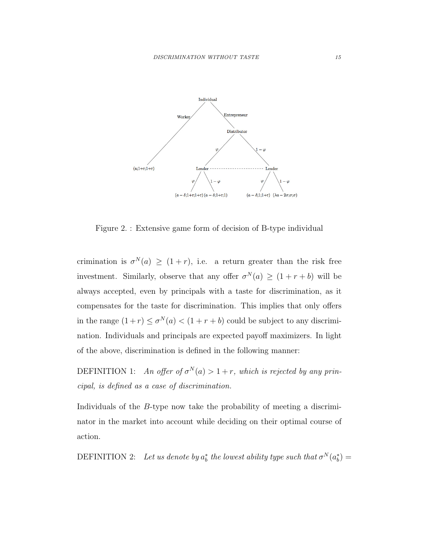<span id="page-15-0"></span>

Figure 2. : Extensive game form of decision of B-type individual

crimination is  $\sigma^{N}(a) \geq (1+r)$ , i.e. a return greater than the risk free investment. Similarly, observe that any offer  $\sigma^{N}(a) \geq (1 + r + b)$  will be always accepted, even by principals with a taste for discrimination, as it compensates for the taste for discrimination. This implies that only offers in the range  $(1+r) \leq \sigma^N(a) < (1+r+b)$  could be subject to any discrimination. Individuals and principals are expected payoff maximizers. In light of the above, discrimination is defined in the following manner:

<span id="page-15-1"></span>DEFINITION 1: An offer of  $\sigma^N(a) > 1+r$ , which is rejected by any principal, is defined as a case of discrimination.

Individuals of the B-type now take the probability of meeting a discriminator in the market into account while deciding on their optimal course of action.

DEFINITION 2: Let us denote by  $a_b^*$  the lowest ability type such that  $\sigma^N(a_b^*) =$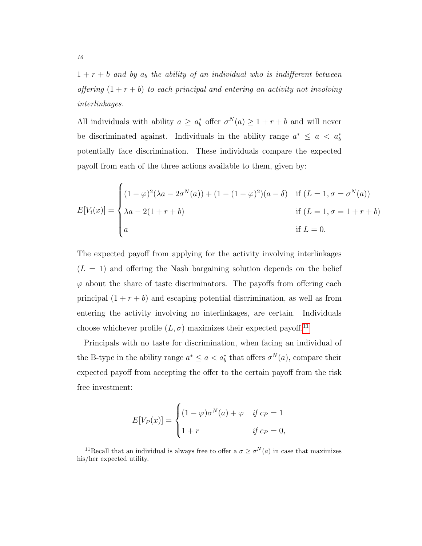$1 + r + b$  and by  $a<sub>b</sub>$  the ability of an individual who is indifferent between offering  $(1 + r + b)$  to each principal and entering an activity not involving interlinkages.

All individuals with ability  $a \ge a_b^*$  offer  $\sigma^N(a) \ge 1 + r + b$  and will never be discriminated against. Individuals in the ability range  $a^* \le a < a_b^*$ potentially face discrimination. These individuals compare the expected payoff from each of the three actions available to them, given by:

$$
E[V_i(x)] = \begin{cases} (1 - \varphi)^2 (\lambda a - 2\sigma^N(a)) + (1 - (1 - \varphi)^2)(a - \delta) & \text{if } (L = 1, \sigma = \sigma^N(a)) \\ \lambda a - 2(1 + r + b) & \text{if } (L = 1, \sigma = 1 + r + b) \\ a & \text{if } L = 0. \end{cases}
$$

The expected payoff from applying for the activity involving interlinkages  $(L = 1)$  and offering the Nash bargaining solution depends on the belief  $\varphi$  about the share of taste discriminators. The payoffs from offering each principal  $(1 + r + b)$  and escaping potential discrimination, as well as from entering the activity involving no interlinkages, are certain. Individuals choose whichever profile  $(L, \sigma)$  maximizes their expected payoff.<sup>[11](#page-16-0)</sup>

Principals with no taste for discrimination, when facing an individual of the B-type in the ability range  $a^* \le a < a_b^*$  that offers  $\sigma^N(a)$ , compare their expected payoff from accepting the offer to the certain payoff from the risk free investment:

$$
E[V_P(x)] = \begin{cases} (1 - \varphi)\sigma^N(a) + \varphi & \text{if } c_P = 1 \\ 1 + r & \text{if } c_P = 0, \end{cases}
$$

<span id="page-16-0"></span><sup>11</sup>Recall that an individual is always free to offer a  $\sigma \geq \sigma^{N}(a)$  in case that maximizes his/her expected utility.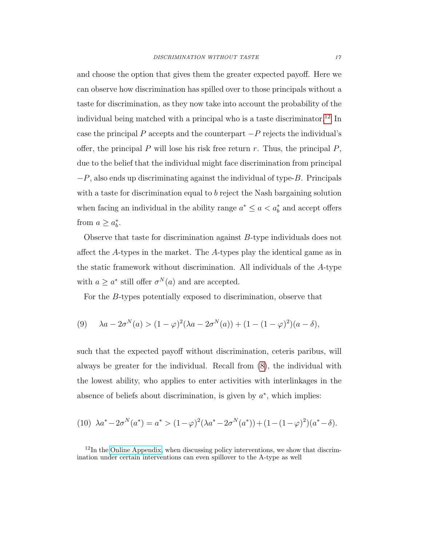and choose the option that gives them the greater expected payoff. Here we can observe how discrimination has spilled over to those principals without a taste for discrimination, as they now take into account the probability of the individual being matched with a principal who is a taste discriminator.<sup>[12](#page-17-0)</sup> In case the principal P accepts and the counterpart  $-P$  rejects the individual's offer, the principal  $P$  will lose his risk free return  $r$ . Thus, the principal  $P$ , due to the belief that the individual might face discrimination from principal  $-P$ , also ends up discriminating against the individual of type-B. Principals with a taste for discrimination equal to b reject the Nash bargaining solution when facing an individual in the ability range  $a^* \le a < a_b^*$  and accept offers from  $a \geq a_b^*$ .

Observe that taste for discrimination against B-type individuals does not affect the A-types in the market. The A-types play the identical game as in the static framework without discrimination. All individuals of the A-type with  $a \geq a^*$  still offer  $\sigma^N(a)$  and are accepted.

For the B-types potentially exposed to discrimination, observe that

(9) 
$$
\lambda a - 2\sigma^N(a) > (1 - \varphi)^2(\lambda a - 2\sigma^N(a)) + (1 - (1 - \varphi)^2)(a - \delta),
$$

such that the expected payoff without discrimination, ceteris paribus, will always be greater for the individual. Recall from [\(8\)](#page-13-0), the individual with the lowest ability, who applies to enter activities with interlinkages in the absence of beliefs about discrimination, is given by  $a^*$ , which implies:

<span id="page-17-1"></span>(10) 
$$
\lambda a^* - 2\sigma^N(a^*) = a^* > (1 - \varphi)^2(\lambda a^* - 2\sigma^N(a^*)) + (1 - (1 - \varphi)^2)(a^* - \delta).
$$

<span id="page-17-0"></span> $12$ In the [Online Appendix,](http://idea.uab.es/christopher.rauh/IDEA/Research_files/Ramachandran_Rauh_discrim_no_taste_online_appendix.pdf) when discussing policy interventions, we show that discrimination under certain interventions can even spillover to the A-type as well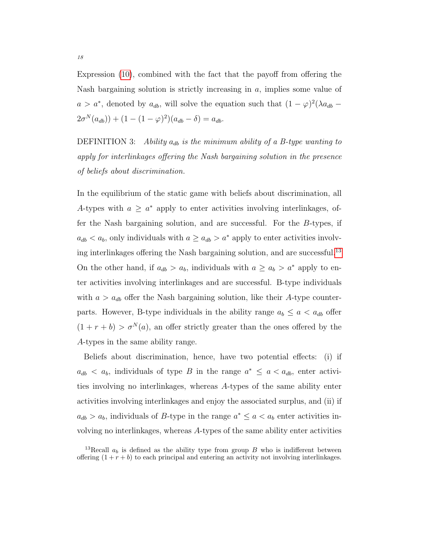Expression [\(10\)](#page-17-1), combined with the fact that the payoff from offering the Nash bargaining solution is strictly increasing in a, implies some value of  $a > a^*$ , denoted by  $a_{db}$ , will solve the equation such that  $(1 - \varphi)^2 (\lambda a_{db} (2\sigma^N(a_{db})) + (1 - (1 - \varphi)^2)(a_{db} - \delta) = a_{db}.$ 

DEFINITION 3: Ability  $a_{db}$  is the minimum ability of a B-type wanting to apply for interlinkages offering the Nash bargaining solution in the presence of beliefs about discrimination.

In the equilibrium of the static game with beliefs about discrimination, all A-types with  $a \geq a^*$  apply to enter activities involving interlinkages, offer the Nash bargaining solution, and are successful. For the B-types, if  $a_{db} < a_b$ , only individuals with  $a \geq a_{db} > a^*$  apply to enter activities involv-ing interlinkages offering the Nash bargaining solution, and are successful.<sup>[13](#page-18-0)</sup> On the other hand, if  $a_{db} > a_b$ , individuals with  $a \geq a_b > a^*$  apply to enter activities involving interlinkages and are successful. B-type individuals with  $a > a_{db}$  offer the Nash bargaining solution, like their A-type counterparts. However, B-type individuals in the ability range  $a_b \le a < a_{db}$  offer  $(1 + r + b) > \sigma^{N}(a)$ , an offer strictly greater than the ones offered by the A-types in the same ability range.

Beliefs about discrimination, hence, have two potential effects: (i) if  $a_{db} < a_b$ , individuals of type B in the range  $a^* \le a < a_{db}$ , enter activities involving no interlinkages, whereas A-types of the same ability enter activities involving interlinkages and enjoy the associated surplus, and (ii) if  $a_{db} > a_b$ , individuals of B-type in the range  $a^* \le a < a_b$  enter activities involving no interlinkages, whereas A-types of the same ability enter activities

<span id="page-18-0"></span><sup>&</sup>lt;sup>13</sup>Recall  $a_b$  is defined as the ability type from group B who is indifferent between offering  $(1 + r + b)$  to each principal and entering an activity not involving interlinkages.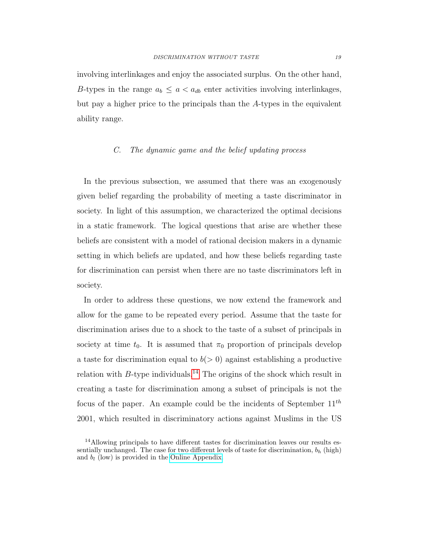involving interlinkages and enjoy the associated surplus. On the other hand, B-types in the range  $a_b \le a < a_{db}$  enter activities involving interlinkages, but pay a higher price to the principals than the A-types in the equivalent ability range.

#### C. The dynamic game and the belief updating process

In the previous subsection, we assumed that there was an exogenously given belief regarding the probability of meeting a taste discriminator in society. In light of this assumption, we characterized the optimal decisions in a static framework. The logical questions that arise are whether these beliefs are consistent with a model of rational decision makers in a dynamic setting in which beliefs are updated, and how these beliefs regarding taste for discrimination can persist when there are no taste discriminators left in society.

In order to address these questions, we now extend the framework and allow for the game to be repeated every period. Assume that the taste for discrimination arises due to a shock to the taste of a subset of principals in society at time  $t_0$ . It is assumed that  $\pi_0$  proportion of principals develop a taste for discrimination equal to  $b(> 0)$  against establishing a productive relation with  $B$ -type individuals.<sup>[14](#page-19-0)</sup> The origins of the shock which result in creating a taste for discrimination among a subset of principals is not the focus of the paper. An example could be the incidents of September  $11^{th}$ 2001, which resulted in discriminatory actions against Muslims in the US

<span id="page-19-0"></span><sup>&</sup>lt;sup>14</sup>Allowing principals to have different tastes for discrimination leaves our results essentially unchanged. The case for two different levels of taste for discrimination,  $b_h$  (high) and  $b_l$  (low) is provided in the [Online Appendix.](http://idea.uab.es/christopher.rauh/IDEA/Research_files/Ramachandran_Rauh_discrim_no_taste_online_appendix.pdf)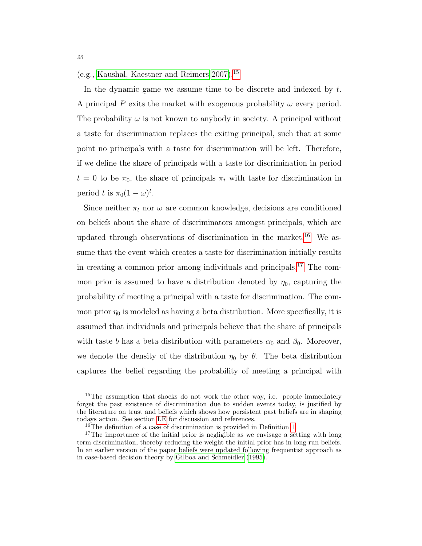(e.g., [Kaushal, Kaestner and Reimers 2007\)](#page-47-2).[15](#page-20-0)

In the dynamic game we assume time to be discrete and indexed by  $t$ . A principal P exits the market with exogenous probability  $\omega$  every period. The probability  $\omega$  is not known to any body in society. A principal without a taste for discrimination replaces the exiting principal, such that at some point no principals with a taste for discrimination will be left. Therefore, if we define the share of principals with a taste for discrimination in period  $t = 0$  to be  $\pi_0$ , the share of principals  $\pi_t$  with taste for discrimination in period t is  $\pi_0(1-\omega)^t$ .

Since neither  $\pi_t$  nor  $\omega$  are common knowledge, decisions are conditioned on beliefs about the share of discriminators amongst principals, which are updated through observations of discrimination in the market.<sup>[16](#page-20-1)</sup> We assume that the event which creates a taste for discrimination initially results in creating a common prior among individuals and principals.[17](#page-20-2) The common prior is assumed to have a distribution denoted by  $\eta_0$ , capturing the probability of meeting a principal with a taste for discrimination. The common prior  $\eta_0$  is modeled as having a beta distribution. More specifically, it is assumed that individuals and principals believe that the share of principals with taste b has a beta distribution with parameters  $\alpha_0$  and  $\beta_0$ . Moreover, we denote the density of the distribution  $\eta_0$  by  $\theta$ . The beta distribution captures the belief regarding the probability of meeting a principal with

<span id="page-20-0"></span><sup>&</sup>lt;sup>15</sup>The assumption that shocks do not work the other way, i.e. people immediately forget the past existence of discrimination due to sudden events today, is justified by the literature on trust and beliefs which shows how persistent past beliefs are in shaping todays action. See section [I.E](#page-26-0) for discussion and references.

<span id="page-20-2"></span><span id="page-20-1"></span><sup>&</sup>lt;sup>16</sup>The definition of a case of discrimination is provided in Definition [1.](#page-15-1)

<sup>&</sup>lt;sup>17</sup>The importance of the initial prior is negligible as we envisage a setting with long term discrimination, thereby reducing the weight the initial prior has in long run beliefs. In an earlier version of the paper beliefs were updated following frequentist approach as in case-based decision theory by [Gilboa and Schmeidler](#page-46-2) [\(1995\)](#page-46-2).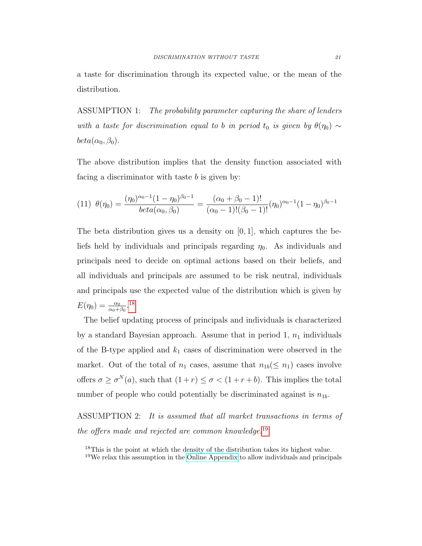a taste for discrimination through its expected value, or the mean of the distribution.

ASSUMPTION 1: The probability parameter capturing the share of lenders with a taste for discrimination equal to b in period t<sub>0</sub> is given by  $\theta(\eta_0) \sim$  $beta(\alpha_0, \beta_0).$ 

The above distribution implies that the density function associated with facing a discriminator with taste  $b$  is given by:

$$
(11) \ \ \theta(\eta_0) = \frac{(\eta_0)^{\alpha_0 - 1} (1 - \eta_0)^{\beta_0 - 1}}{beta(\alpha_0, \beta_0)} = \frac{(\alpha_0 + \beta_0 - 1)!}{(\alpha_0 - 1)!(\beta_0 - 1)!} (\eta_0)^{\alpha_0 - 1} (1 - \eta_0)^{\beta_0 - 1}
$$

The beta distribution gives us a density on  $[0, 1]$ , which captures the beliefs held by individuals and principals regarding  $\eta_0$ . As individuals and principals need to decide on optimal actions based on their beliefs, and all individuals and principals are assumed to be risk neutral, individuals and principals use the expected value of the distribution which is given by  $E(\eta_0) = \frac{\alpha_0}{\alpha_0 + \beta_0}.$ <sup>[18](#page-21-0)</sup>

The belief updating process of principals and individuals is characterized by a standard Bayesian approach. Assume that in period 1,  $n_1$  individuals of the B-type applied and  $k_1$  cases of discrimination were observed in the market. Out of the total of  $n_1$  cases, assume that  $n_{1b}(\leq n_1)$  cases involve offers  $\sigma \geq \sigma^N(a)$ , such that  $(1+r) \leq \sigma < (1+r+b)$ . This implies the total number of people who could potentially be discriminated against is  $n_{1b}$ .

ASSUMPTION 2: It is assumed that all market transactions in terms of the offers made and rejected are common knowledge.<sup>[19](#page-21-1)</sup>

<span id="page-21-1"></span><span id="page-21-0"></span><sup>&</sup>lt;sup>18</sup>This is the point at which the density of the distribution takes its highest value. <sup>19</sup>We relax this assumption in the [Online Appendix](http://idea.uab.es/christopher.rauh/IDEA/Research_files/Ramachandran_Rauh_discrim_no_taste_online_appendix.pdf) to allow individuals and principals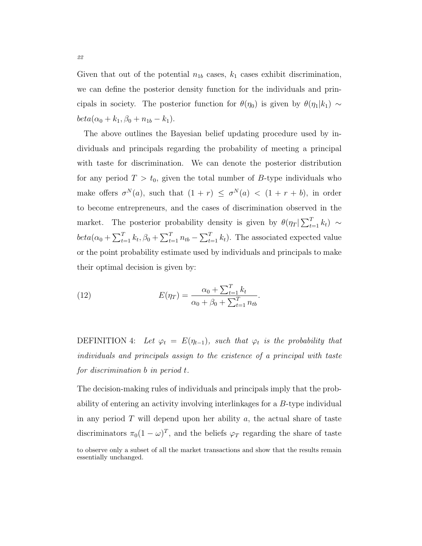Given that out of the potential  $n_{1b}$  cases,  $k_1$  cases exhibit discrimination, we can define the posterior density function for the individuals and principals in society. The posterior function for  $\theta(\eta_0)$  is given by  $\theta(\eta_1|k_1) \sim$  $beta(\alpha_0 + k_1, \beta_0 + n_{1b} - k_1).$ 

The above outlines the Bayesian belief updating procedure used by individuals and principals regarding the probability of meeting a principal with taste for discrimination. We can denote the posterior distribution for any period  $T > t_0$ , given the total number of B-type individuals who make offers  $\sigma^{N}(a)$ , such that  $(1 + r) \leq \sigma^{N}(a) < (1 + r + b)$ , in order to become entrepreneurs, and the cases of discrimination observed in the market. The posterior probability density is given by  $\theta(\eta_T | \sum_{t=1}^T k_t) \sim$  $beta(\alpha_0 + \sum_{t=1}^T k_t, \beta_0 + \sum_{t=1}^T n_{tb} - \sum_{t=1}^T k_t)$ . The associated expected value or the point probability estimate used by individuals and principals to make their optimal decision is given by:

(12) 
$$
E(\eta_T) = \frac{\alpha_0 + \sum_{t=1}^T k_t}{\alpha_0 + \beta_0 + \sum_{t=1}^T n_{tb}}.
$$

DEFINITION 4: Let  $\varphi_t = E(\eta_{t-1})$ , such that  $\varphi_t$  is the probability that individuals and principals assign to the existence of a principal with taste for discrimination b in period t.

The decision-making rules of individuals and principals imply that the probability of entering an activity involving interlinkages for a B-type individual in any period  $T$  will depend upon her ability  $a$ , the actual share of taste discriminators  $\pi_0(1-\omega)^T$ , and the beliefs  $\varphi_T$  regarding the share of taste to observe only a subset of all the market transactions and show that the results remain essentially unchanged.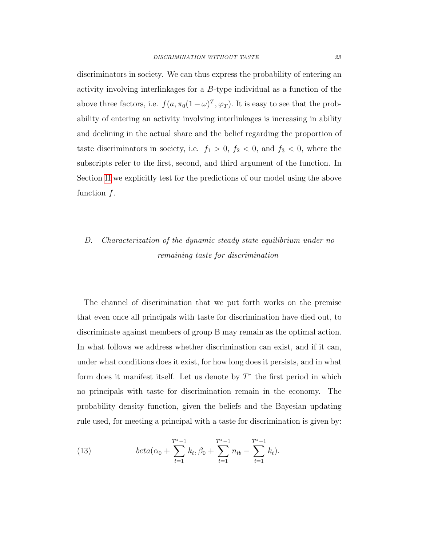discriminators in society. We can thus express the probability of entering an activity involving interlinkages for a  $B$ -type individual as a function of the above three factors, i.e.  $f(a, \pi_0(1-\omega)^T, \varphi_T)$ . It is easy to see that the probability of entering an activity involving interlinkages is increasing in ability and declining in the actual share and the belief regarding the proportion of taste discriminators in society, i.e.  $f_1 > 0$ ,  $f_2 < 0$ , and  $f_3 < 0$ , where the subscripts refer to the first, second, and third argument of the function. In Section [II](#page-29-0) we explicitly test for the predictions of our model using the above function  $f$ .

### D. Characterization of the dynamic steady state equilibrium under no remaining taste for discrimination

The channel of discrimination that we put forth works on the premise that even once all principals with taste for discrimination have died out, to discriminate against members of group B may remain as the optimal action. In what follows we address whether discrimination can exist, and if it can, under what conditions does it exist, for how long does it persists, and in what form does it manifest itself. Let us denote by  $T^*$  the first period in which no principals with taste for discrimination remain in the economy. The probability density function, given the beliefs and the Bayesian updating rule used, for meeting a principal with a taste for discrimination is given by:

(13) 
$$
beta(\alpha_0 + \sum_{t=1}^{T^*-1} k_t, \beta_0 + \sum_{t=1}^{T^*-1} n_{tb} - \sum_{t=1}^{T^*-1} k_t).
$$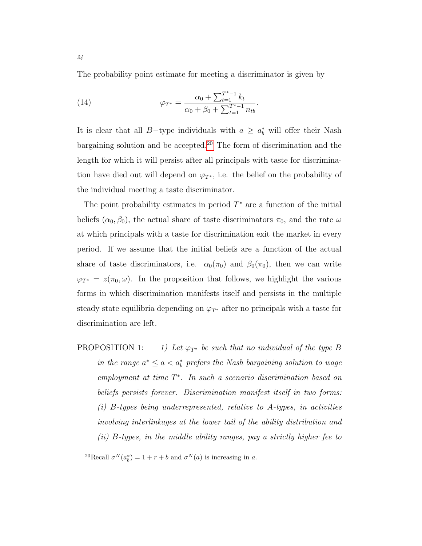The probability point estimate for meeting a discriminator is given by

(14) 
$$
\varphi_{T^*} = \frac{\alpha_0 + \sum_{t=1}^{T^*-1} k_t}{\alpha_0 + \beta_0 + \sum_{t=1}^{T^*-1} n_{tb}}.
$$

It is clear that all B-type individuals with  $a \geq a_b^*$  will offer their Nash bargaining solution and be accepted.[20](#page-24-0) The form of discrimination and the length for which it will persist after all principals with taste for discrimination have died out will depend on  $\varphi_{T^*}$ , i.e. the belief on the probability of the individual meeting a taste discriminator.

The point probability estimates in period  $T^*$  are a function of the initial beliefs  $(\alpha_0, \beta_0)$ , the actual share of taste discriminators  $\pi_0$ , and the rate  $\omega$ at which principals with a taste for discrimination exit the market in every period. If we assume that the initial beliefs are a function of the actual share of taste discriminators, i.e.  $\alpha_0(\pi_0)$  and  $\beta_0(\pi_0)$ , then we can write  $\varphi_{T^*} = z(\pi_0, \omega)$ . In the proposition that follows, we highlight the various forms in which discrimination manifests itself and persists in the multiple steady state equilibria depending on  $\varphi_{T^*}$  after no principals with a taste for discrimination are left.

PROPOSITION 1: 1) Let  $\varphi_{T^*}$  be such that no individual of the type B in the range  $a^* \le a < a_b^*$  prefers the Nash bargaining solution to wage  $emplyment$  at time  $T^*$ . In such a scenario discrimination based on beliefs persists forever. Discrimination manifest itself in two forms:  $(i)$  B-types being underrepresented, relative to A-types, in activities involving interlinkages at the lower tail of the ability distribution and (ii)  $B$ -types, in the middle ability ranges, pay a strictly higher fee to

<span id="page-24-0"></span><sup>20</sup>Recall  $\sigma^N(a_b^*) = 1 + r + b$  and  $\sigma^N(a)$  is increasing in a.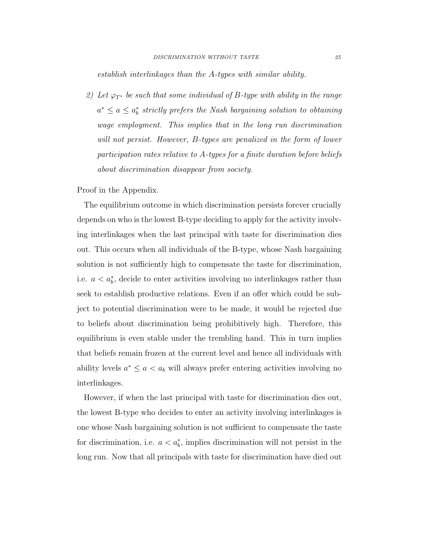establish interlinkages than the A-types with similar ability.

2) Let  $\varphi_{T^*}$  be such that some individual of B-type with ability in the range  $a^* \le a \le a_b^*$  strictly prefers the Nash bargaining solution to obtaining wage employment. This implies that in the long run discrimination will not persist. However, B-types are penalized in the form of lower participation rates relative to A-types for a finite duration before beliefs about discrimination disappear from society.

Proof in the Appendix.

The equilibrium outcome in which discrimination persists forever crucially depends on who is the lowest B-type deciding to apply for the activity involving interlinkages when the last principal with taste for discrimination dies out. This occurs when all individuals of the B-type, whose Nash bargaining solution is not sufficiently high to compensate the taste for discrimination, i.e.  $a < a<sub>b</sub><sup>*</sup>$ , decide to enter activities involving no interlinkages rather than seek to establish productive relations. Even if an offer which could be subject to potential discrimination were to be made, it would be rejected due to beliefs about discrimination being prohibitively high. Therefore, this equilibrium is even stable under the trembling hand. This in turn implies that beliefs remain frozen at the current level and hence all individuals with ability levels  $a^* \leq a < a_b$  will always prefer entering activities involving no interlinkages.

However, if when the last principal with taste for discrimination dies out, the lowest B-type who decides to enter an activity involving interlinkages is one whose Nash bargaining solution is not sufficient to compensate the taste for discrimination, i.e.  $a < a<sub>b</sub>^*$ , implies discrimination will not persist in the long run. Now that all principals with taste for discrimination have died out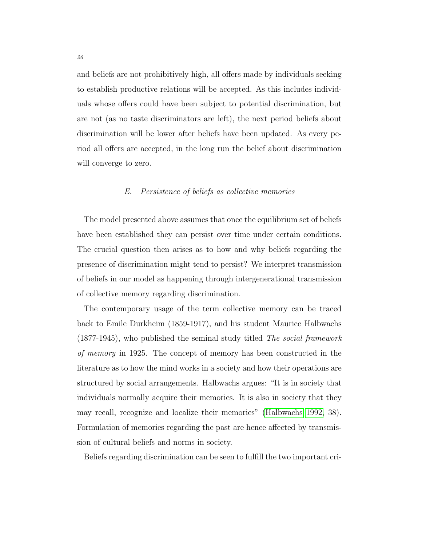and beliefs are not prohibitively high, all offers made by individuals seeking to establish productive relations will be accepted. As this includes individuals whose offers could have been subject to potential discrimination, but are not (as no taste discriminators are left), the next period beliefs about discrimination will be lower after beliefs have been updated. As every period all offers are accepted, in the long run the belief about discrimination will converge to zero.

#### E. Persistence of beliefs as collective memories

<span id="page-26-0"></span>The model presented above assumes that once the equilibrium set of beliefs have been established they can persist over time under certain conditions. The crucial question then arises as to how and why beliefs regarding the presence of discrimination might tend to persist? We interpret transmission of beliefs in our model as happening through intergenerational transmission of collective memory regarding discrimination.

The contemporary usage of the term collective memory can be traced back to Emile Durkheim (1859-1917), and his student Maurice Halbwachs (1877-1945), who published the seminal study titled The social framework of memory in 1925. The concept of memory has been constructed in the literature as to how the mind works in a society and how their operations are structured by social arrangements. Halbwachs argues: "It is in society that individuals normally acquire their memories. It is also in society that they may recall, recognize and localize their memories" [\(Halbwachs 1992,](#page-47-3) 38). Formulation of memories regarding the past are hence affected by transmission of cultural beliefs and norms in society.

Beliefs regarding discrimination can be seen to fulfill the two important cri-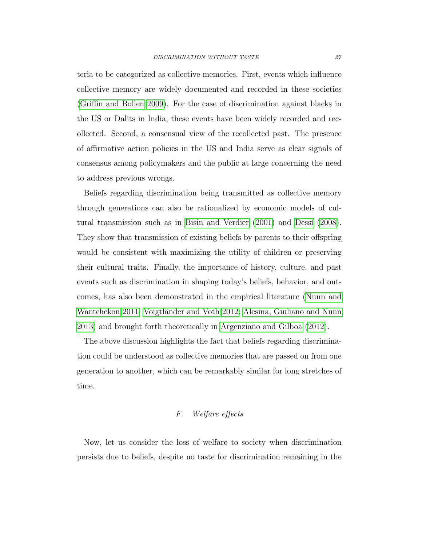teria to be categorized as collective memories. First, events which influence collective memory are widely documented and recorded in these societies [\(Griffin and Bollen 2009\)](#page-47-4). For the case of discrimination against blacks in the US or Dalits in India, these events have been widely recorded and recollected. Second, a consensual view of the recollected past. The presence of affirmative action policies in the US and India serve as clear signals of consensus among policymakers and the public at large concerning the need to address previous wrongs.

Beliefs regarding discrimination being transmitted as collective memory through generations can also be rationalized by economic models of cul-tural transmission such as in [Bisin and Verdier](#page-45-4)  $(2001)$  and Dessí  $(2008)$ . They show that transmission of existing beliefs by parents to their offspring would be consistent with maximizing the utility of children or preserving their cultural traits. Finally, the importance of history, culture, and past events such as discrimination in shaping today's beliefs, behavior, and outcomes, has also been demonstrated in the empirical literature [\(Nunn and](#page-48-6) [Wantchekon 2011;](#page-48-6) Voigtländer and Voth 2012; [Alesina, Giuliano and Nunn](#page-44-4) [2013\)](#page-44-4) and brought forth theoretically in [Argenziano and Gilboa](#page-44-5) [\(2012\)](#page-44-5).

The above discussion highlights the fact that beliefs regarding discrimination could be understood as collective memories that are passed on from one generation to another, which can be remarkably similar for long stretches of time.

### F. Welfare effects

Now, let us consider the loss of welfare to society when discrimination persists due to beliefs, despite no taste for discrimination remaining in the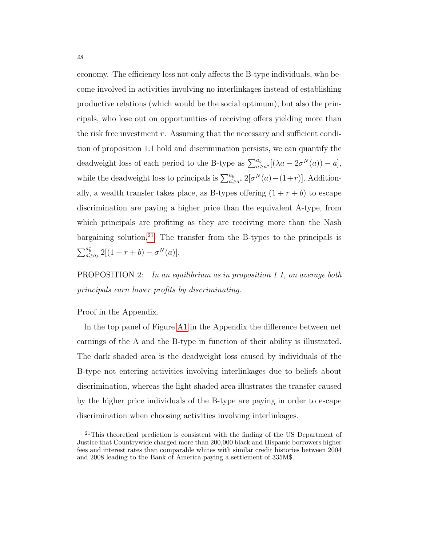economy. The efficiency loss not only affects the B-type individuals, who become involved in activities involving no interlinkages instead of establishing productive relations (which would be the social optimum), but also the principals, who lose out on opportunities of receiving offers yielding more than the risk free investment  $r$ . Assuming that the necessary and sufficient condition of proposition 1.1 hold and discrimination persists, we can quantify the deadweight loss of each period to the B-type as  $\sum_{a\geq a^*}^{a_b} [(\lambda a - 2\sigma^N(a)) - a],$ while the deadweight loss to principals is  $\sum_{a\geq a^*}^{a_b} 2[\sigma^N(a) - (1+r)]$ . Additionally, a wealth transfer takes place, as B-types offering  $(1 + r + b)$  to escape discrimination are paying a higher price than the equivalent A-type, from which principals are profiting as they are receiving more than the Nash bargaining solution.<sup>[21](#page-28-0)</sup> The transfer from the B-types to the principals is  $\sum_{a \ge a_b}^{a_b^*} 2[(1+r+b) - \sigma^N(a)].$ 

**PROPOSITION** 2: In an equilibrium as in proposition 1.1, on average both principals earn lower profits by discriminating.

Proof in the Appendix.

In the top panel of Figure [A1](#page-43-0) in the Appendix the difference between net earnings of the A and the B-type in function of their ability is illustrated. The dark shaded area is the deadweight loss caused by individuals of the B-type not entering activities involving interlinkages due to beliefs about discrimination, whereas the light shaded area illustrates the transfer caused by the higher price individuals of the B-type are paying in order to escape discrimination when choosing activities involving interlinkages.

<span id="page-28-0"></span><sup>&</sup>lt;sup>21</sup>This theoretical prediction is consistent with the finding of the US Department of Justice that Countrywide charged more than 200,000 black and Hispanic borrowers higher fees and interest rates than comparable whites with similar credit histories between 2004 and 2008 leading to the Bank of America paying a settlement of 335M\$.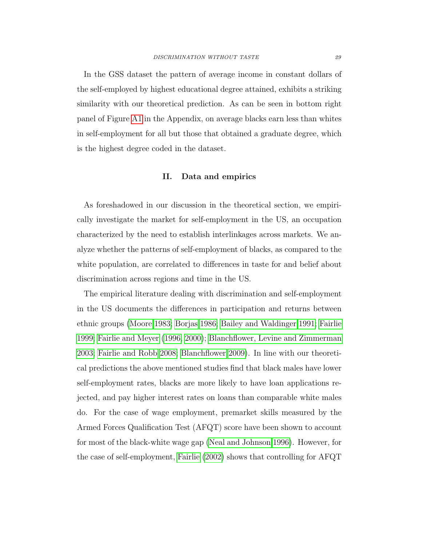In the GSS dataset the pattern of average income in constant dollars of the self-employed by highest educational degree attained, exhibits a striking similarity with our theoretical prediction. As can be seen in bottom right panel of Figure [A1](#page-43-0) in the Appendix, on average blacks earn less than whites in self-employment for all but those that obtained a graduate degree, which is the highest degree coded in the dataset.

#### II. Data and empirics

<span id="page-29-0"></span>As foreshadowed in our discussion in the theoretical section, we empirically investigate the market for self-employment in the US, an occupation characterized by the need to establish interlinkages across markets. We analyze whether the patterns of self-employment of blacks, as compared to the white population, are correlated to differences in taste for and belief about discrimination across regions and time in the US.

The empirical literature dealing with discrimination and self-employment in the US documents the differences in participation and returns between ethnic groups [\(Moore 1983;](#page-48-8) [Borjas 1986;](#page-45-5) [Bailey and Waldinger 1991;](#page-44-6) [Fairlie](#page-46-4) [1999;](#page-46-4) [Fairlie and Meyer](#page-46-5) [\(1996,](#page-46-5) [2000\)](#page-46-6); [Blanchflower, Levine and Zimmerman](#page-45-6) [2003;](#page-45-6) [Fairlie and Robb 2008;](#page-46-7) [Blanchflower 2009\)](#page-45-7). In line with our theoretical predictions the above mentioned studies find that black males have lower self-employment rates, blacks are more likely to have loan applications rejected, and pay higher interest rates on loans than comparable white males do. For the case of wage employment, premarket skills measured by the Armed Forces Qualification Test (AFQT) score have been shown to account for most of the black-white wage gap [\(Neal and Johnson 1996\)](#page-48-9). However, for the case of self-employment, [Fairlie](#page-46-8) [\(2002\)](#page-46-8) shows that controlling for AFQT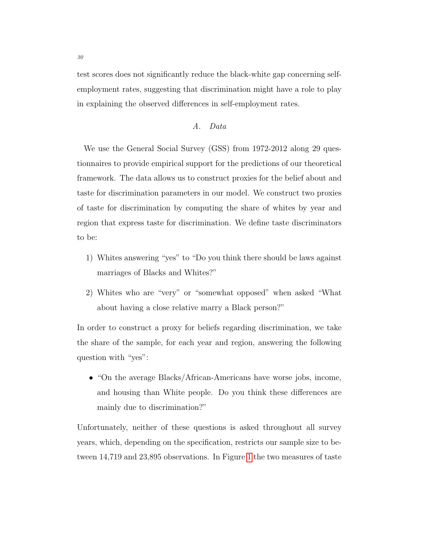test scores does not significantly reduce the black-white gap concerning selfemployment rates, suggesting that discrimination might have a role to play in explaining the observed differences in self-employment rates.

#### A. Data

<span id="page-30-0"></span>We use the General Social Survey (GSS) from 1972-2012 along 29 questionnaires to provide empirical support for the predictions of our theoretical framework. The data allows us to construct proxies for the belief about and taste for discrimination parameters in our model. We construct two proxies of taste for discrimination by computing the share of whites by year and region that express taste for discrimination. We define taste discriminators to be:

- 1) Whites answering "yes" to "Do you think there should be laws against marriages of Blacks and Whites?"
- 2) Whites who are "very" or "somewhat opposed" when asked "What about having a close relative marry a Black person?"

In order to construct a proxy for beliefs regarding discrimination, we take the share of the sample, for each year and region, answering the following question with "yes":

• "On the average Blacks/African-Americans have worse jobs, income, and housing than White people. Do you think these differences are mainly due to discrimination?"

Unfortunately, neither of these questions is asked throughout all survey years, which, depending on the specification, restricts our sample size to between 14,719 and 23,895 observations. In Figure [1](#page-6-0) the two measures of taste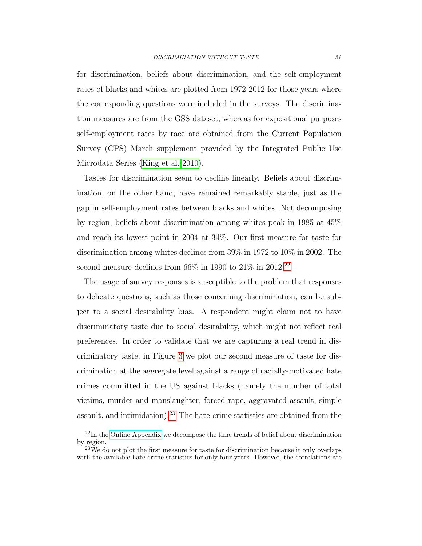for discrimination, beliefs about discrimination, and the self-employment rates of blacks and whites are plotted from 1972-2012 for those years where the corresponding questions were included in the surveys. The discrimination measures are from the GSS dataset, whereas for expositional purposes self-employment rates by race are obtained from the Current Population Survey (CPS) March supplement provided by the Integrated Public Use Microdata Series [\(King et al. 2010\)](#page-47-5).

Tastes for discrimination seem to decline linearly. Beliefs about discrimination, on the other hand, have remained remarkably stable, just as the gap in self-employment rates between blacks and whites. Not decomposing by region, beliefs about discrimination among whites peak in 1985 at 45% and reach its lowest point in 2004 at 34%. Our first measure for taste for discrimination among whites declines from 39% in 1972 to 10% in 2002. The second measure declines from  $66\%$  in 1990 to  $21\%$  in 2012.<sup>[22](#page-31-0)</sup>

The usage of survey responses is susceptible to the problem that responses to delicate questions, such as those concerning discrimination, can be subject to a social desirability bias. A respondent might claim not to have discriminatory taste due to social desirability, which might not reflect real preferences. In order to validate that we are capturing a real trend in discriminatory taste, in Figure [3](#page-33-0) we plot our second measure of taste for discrimination at the aggregate level against a range of racially-motivated hate crimes committed in the US against blacks (namely the number of total victims, murder and manslaughter, forced rape, aggravated assault, simple assault, and intimidation).<sup>[23](#page-31-1)</sup> The hate-crime statistics are obtained from the

<span id="page-31-0"></span><sup>22</sup>In the [Online Appendix](http://idea.uab.es/christopher.rauh/IDEA/Research_files/Ramachandran_Rauh_discrim_no_taste_online_appendix.pdf) we decompose the time trends of belief about discrimination by region.

<span id="page-31-1"></span><sup>&</sup>lt;sup>23</sup>We do not plot the first measure for taste for discrimination because it only overlaps with the available hate crime statistics for only four years. However, the correlations are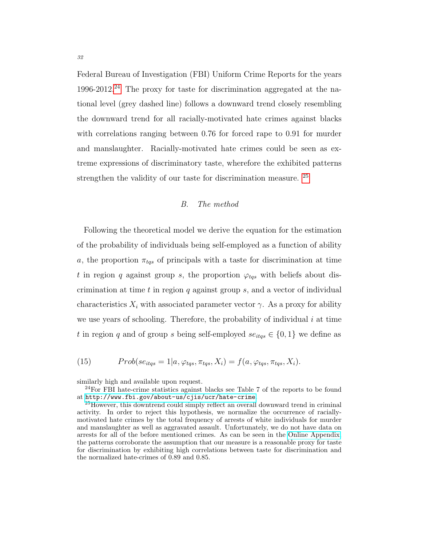Federal Bureau of Investigation (FBI) Uniform Crime Reports for the years 1996-2012.<sup>[24](#page-32-0)</sup> The proxy for taste for discrimination aggregated at the national level (grey dashed line) follows a downward trend closely resembling the downward trend for all racially-motivated hate crimes against blacks with correlations ranging between 0.76 for forced rape to 0.91 for murder and manslaughter. Racially-motivated hate crimes could be seen as extreme expressions of discriminatory taste, wherefore the exhibited patterns strengthen the validity of our taste for discrimination measure. [25](#page-32-1)

#### B. The method

Following the theoretical model we derive the equation for the estimation of the probability of individuals being self-employed as a function of ability a, the proportion  $\pi_{tqs}$  of principals with a taste for discrimination at time t in region q against group s, the proportion  $\varphi_{tqs}$  with beliefs about discrimination at time t in region q against group  $s$ , and a vector of individual characteristics  $X_i$  with associated parameter vector  $\gamma$ . As a proxy for ability we use years of schooling. Therefore, the probability of individual  $i$  at time t in region q and of group s being self-employed  $se_{itqs} \in \{0, 1\}$  we define as

(15) 
$$
Prob(se_{itqs} = 1|a, \varphi_{tqs}, \pi_{tqs}, X_i) = f(a, \varphi_{tqs}, \pi_{tqs}, X_i).
$$

similarly high and available upon request.

<span id="page-32-0"></span><sup>24</sup>For FBI hate-crime statistics against blacks see Table 7 of the reports to be found at <http://www.fbi.gov/about-us/cjis/ucr/hate-crime>.

<span id="page-32-1"></span><sup>25</sup>However, this downtrend could simply reflect an overall downward trend in criminal activity. In order to reject this hypothesis, we normalize the occurrence of raciallymotivated hate crimes by the total frequency of arrests of white individuals for murder and manslaughter as well as aggravated assault. Unfortunately, we do not have data on arrests for all of the before mentioned crimes. As can be seen in the [Online Appendix,](http://idea.uab.es/christopher.rauh/IDEA/Research_files/Ramachandran_Rauh_discrim_no_taste_online_appendix.pdf) the patterns corroborate the assumption that our measure is a reasonable proxy for taste for discrimination by exhibiting high correlations between taste for discrimination and the normalized hate-crimes of 0.89 and 0.85.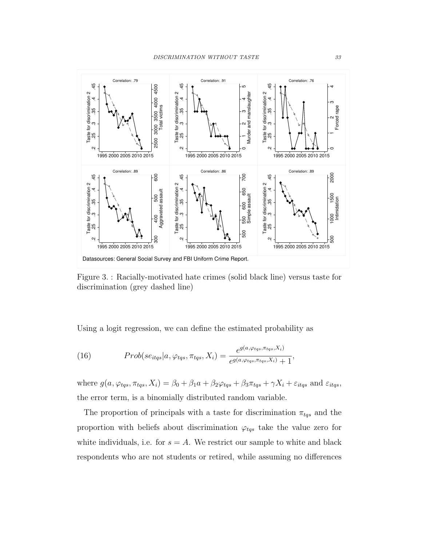<span id="page-33-0"></span>

Figure 3. : Racially-motivated hate crimes (solid black line) versus taste for discrimination (grey dashed line)

Using a logit regression, we can define the estimated probability as

(16) 
$$
Prob(se_{itqs}|a,\varphi_{tqs},\pi_{tqs},X_i) = \frac{e^{g(a,\varphi_{tqs},\pi_{tqs},X_i)}}{e^{g(a,\varphi_{tqs},\pi_{tqs},X_i)}+1},
$$

where  $g(a, \varphi_{tqs}, \pi_{tqs}, X_i) = \beta_0 + \beta_1 a + \beta_2 \varphi_{tqs} + \beta_3 \pi_{tqs} + \gamma X_i + \varepsilon_{itqs}$  and  $\varepsilon_{itqs}$ , the error term, is a binomially distributed random variable.

The proportion of principals with a taste for discrimination  $\pi_{tqs}$  and the proportion with beliefs about discrimination  $\varphi_{tqs}$  take the value zero for white individuals, i.e. for  $s = A$ . We restrict our sample to white and black respondents who are not students or retired, while assuming no differences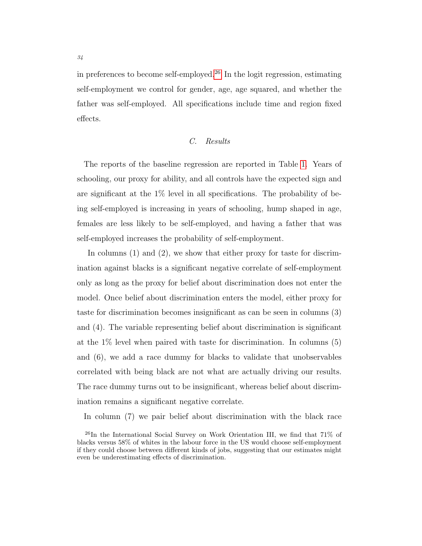in preferences to become self-employed.<sup>[26](#page-34-0)</sup> In the logit regression, estimating self-employment we control for gender, age, age squared, and whether the father was self-employed. All specifications include time and region fixed effects.

#### C. Results

The reports of the baseline regression are reported in Table [1.](#page-35-0) Years of schooling, our proxy for ability, and all controls have the expected sign and are significant at the  $1\%$  level in all specifications. The probability of being self-employed is increasing in years of schooling, hump shaped in age, females are less likely to be self-employed, and having a father that was self-employed increases the probability of self-employment.

In columns  $(1)$  and  $(2)$ , we show that either proxy for taste for discrimination against blacks is a significant negative correlate of self-employment only as long as the proxy for belief about discrimination does not enter the model. Once belief about discrimination enters the model, either proxy for taste for discrimination becomes insignificant as can be seen in columns (3) and (4). The variable representing belief about discrimination is significant at the 1% level when paired with taste for discrimination. In columns (5) and (6), we add a race dummy for blacks to validate that unobservables correlated with being black are not what are actually driving our results. The race dummy turns out to be insignificant, whereas belief about discrimination remains a significant negative correlate.

In column (7) we pair belief about discrimination with the black race

<span id="page-34-0"></span><sup>&</sup>lt;sup>26</sup>In the International Social Survey on Work Orientation III, we find that  $71\%$  of blacks versus 58% of whites in the labour force in the US would choose self-employment if they could choose between different kinds of jobs, suggesting that our estimates might even be underestimating effects of discrimination.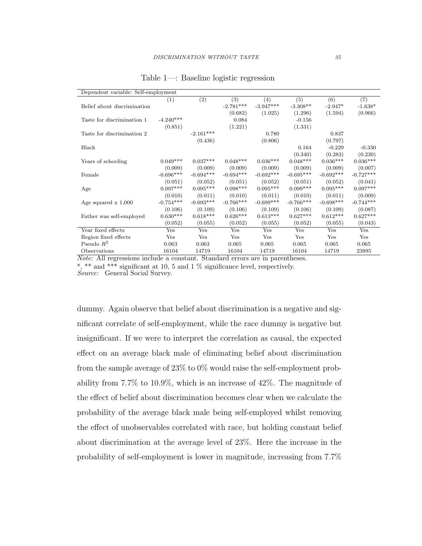<span id="page-35-0"></span>

| Dependent variable: Self-employment |             |             |             |             |             |             |             |
|-------------------------------------|-------------|-------------|-------------|-------------|-------------|-------------|-------------|
|                                     | (1)         | (2)         | (3)         | (4)         | (5)         | (6)         | (7)         |
| Belief about discrimination         |             |             | $-2.781***$ | $-3.947***$ | $-3.308**$  | $-2.947*$   | $-1.638*$   |
|                                     |             |             | (0.682)     | (1.025)     | (1.296)     | (1.594)     | (0.966)     |
| Taste for discrimination 1          | $-4.240***$ |             | 0.084       |             | $-0.156$    |             |             |
|                                     | (0.851)     |             | (1.221)     |             | (1.331)     |             |             |
| Taste for discrimination 2          |             | $-2.161***$ |             | 0.780       |             | 0.837       |             |
|                                     |             | (0.436)     |             | (0.806)     |             | (0.797)     |             |
| Black                               |             |             |             |             | 0.164       | $-0.229$    | $-0.330$    |
|                                     |             |             |             |             | (0.340)     | (0.283)     | (0.230)     |
| Years of schooling                  | $0.049***$  | $0.037***$  | $0.048***$  | $0.036***$  | $0.048***$  | $0.036***$  | $0.036***$  |
|                                     | (0.009)     | (0.009)     | (0.009)     | (0.009)     | (0.009)     | (0.009)     | (0.007)     |
| Female                              | $-0.696***$ | $-0.694***$ | $-0.694***$ | $-0.692***$ | $-0.695***$ | $-0.692***$ | $-0.727***$ |
|                                     | (0.051)     | (0.052)     | (0.051)     | (0.052)     | (0.051)     | (0.052)     | (0.041)     |
| Age                                 | $0.097***$  | $0.095***$  | $0.098***$  | $0.095***$  | $0.099***$  | $0.095***$  | $0.097***$  |
|                                     | (0.010)     | (0.011)     | (0.010)     | (0.011)     | (0.010)     | (0.011)     | (0.009)     |
| Age squared $x$ 1,000               | $-0.754***$ | $-0.693***$ | $-0.766***$ | $-0.699***$ | $-0.766***$ | $-0.698***$ | $-0.744***$ |
|                                     | (0.106)     | (0.109)     | (0.106)     | (0.109)     | (0.106)     | (0.109)     | (0.087)     |
| Father was self-employed            | $0.630***$  | $0.618***$  | $0.626***$  | $0.613***$  | $0.627***$  | $0.612***$  | $0.627***$  |
|                                     | (0.052)     | (0.055)     | (0.052)     | (0.055)     | (0.052)     | (0.055)     | (0.043)     |
| Year fixed effects                  | Yes         | Yes         | Yes         | Yes         | Yes         | Yes         | Yes         |
| Region fixed effects                | Yes         | Yes         | Yes         | Yes         | Yes         | Yes         | Yes         |
| Pseudo $R^2$                        | 0.063       | 0.063       | 0.065       | 0.065       | 0.065       | 0.065       | 0.065       |
| Observations                        | 16104       | 14719       | 16104       | 14719       | 16104       | 14719       | 23895       |

Table 1—: Baseline logistic regression

Note: All regressions include a constant. Standard errors are in parentheses. \*, \*\* and \*\*\* significant at 10, 5 and 1 % significance level, respectively.

Source: General Social Survey.

dummy. Again observe that belief about discrimination is a negative and significant correlate of self-employment, while the race dummy is negative but insignificant. If we were to interpret the correlation as causal, the expected effect on an average black male of eliminating belief about discrimination from the sample average of  $23\%$  to  $0\%$  would raise the self-employment probability from 7.7% to 10.9%, which is an increase of 42%. The magnitude of the effect of belief about discrimination becomes clear when we calculate the probability of the average black male being self-employed whilst removing the effect of unobservables correlated with race, but holding constant belief about discrimination at the average level of 23%. Here the increase in the probability of self-employment is lower in magnitude, increasing from 7.7%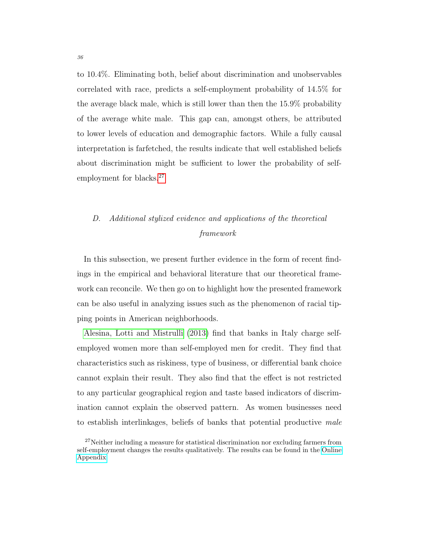to 10.4%. Eliminating both, belief about discrimination and unobservables correlated with race, predicts a self-employment probability of 14.5% for the average black male, which is still lower than then the 15.9% probability of the average white male. This gap can, amongst others, be attributed to lower levels of education and demographic factors. While a fully causal interpretation is farfetched, the results indicate that well established beliefs about discrimination might be sufficient to lower the probability of self-employment for blacks.<sup>[27](#page-36-1)</sup>

### <span id="page-36-0"></span>D. Additional stylized evidence and applications of the theoretical framework

In this subsection, we present further evidence in the form of recent findings in the empirical and behavioral literature that our theoretical framework can reconcile. We then go on to highlight how the presented framework can be also useful in analyzing issues such as the phenomenon of racial tipping points in American neighborhoods.

[Alesina, Lotti and Mistrulli](#page-44-7) [\(2013\)](#page-44-7) find that banks in Italy charge selfemployed women more than self-employed men for credit. They find that characteristics such as riskiness, type of business, or differential bank choice cannot explain their result. They also find that the effect is not restricted to any particular geographical region and taste based indicators of discrimination cannot explain the observed pattern. As women businesses need to establish interlinkages, beliefs of banks that potential productive male

<span id="page-36-1"></span><sup>&</sup>lt;sup>27</sup>Neither including a measure for statistical discrimination nor excluding farmers from self-employment changes the results qualitatively. The results can be found in the [Online](http://idea.uab.es/christopher.rauh/IDEA/Research_files/Ramachandran_Rauh_discrim_no_taste_online_appendix.pdf) [Appendix.](http://idea.uab.es/christopher.rauh/IDEA/Research_files/Ramachandran_Rauh_discrim_no_taste_online_appendix.pdf)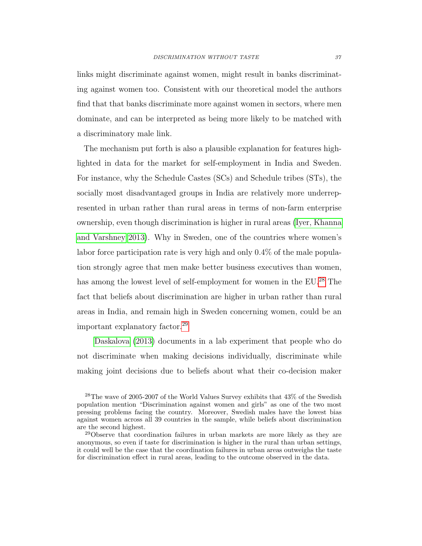links might discriminate against women, might result in banks discriminating against women too. Consistent with our theoretical model the authors find that that banks discriminate more against women in sectors, where men dominate, and can be interpreted as being more likely to be matched with a discriminatory male link.

The mechanism put forth is also a plausible explanation for features highlighted in data for the market for self-employment in India and Sweden. For instance, why the Schedule Castes (SCs) and Schedule tribes (STs), the socially most disadvantaged groups in India are relatively more underrepresented in urban rather than rural areas in terms of non-farm enterprise ownership, even though discrimination is higher in rural areas [\(Iyer, Khanna](#page-47-6) [and Varshney 2013\)](#page-47-6). Why in Sweden, one of the countries where women's labor force participation rate is very high and only 0.4% of the male population strongly agree that men make better business executives than women, has among the lowest level of self-employment for women in the EU.<sup>[28](#page-37-0)</sup> The fact that beliefs about discrimination are higher in urban rather than rural areas in India, and remain high in Sweden concerning women, could be an important explanatory factor.[29](#page-37-1)

[Daskalova](#page-46-9) [\(2013\)](#page-46-9) documents in a lab experiment that people who do not discriminate when making decisions individually, discriminate while making joint decisions due to beliefs about what their co-decision maker

<span id="page-37-0"></span><sup>28</sup>The wave of 2005-2007 of the World Values Survey exhibits that 43% of the Swedish population mention "Discrimination against women and girls" as one of the two most pressing problems facing the country. Moreover, Swedish males have the lowest bias against women across all 39 countries in the sample, while beliefs about discrimination are the second highest.

<span id="page-37-1"></span><sup>&</sup>lt;sup>29</sup>Observe that coordination failures in urban markets are more likely as they are anonymous, so even if taste for discrimination is higher in the rural than urban settings, it could well be the case that the coordination failures in urban areas outweighs the taste for discrimination effect in rural areas, leading to the outcome observed in the data.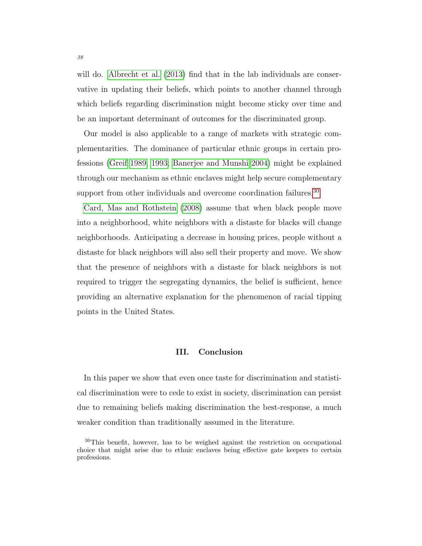will do. [Albrecht et al.](#page-44-8) [\(2013\)](#page-44-8) find that in the lab individuals are conservative in updating their beliefs, which points to another channel through which beliefs regarding discrimination might become sticky over time and be an important determinant of outcomes for the discriminated group.

Our model is also applicable to a range of markets with strategic complementarities. The dominance of particular ethnic groups in certain professions [\(Greif 1989,](#page-47-7) [1993;](#page-47-8) [Banerjee and Munshi 2004\)](#page-45-8) might be explained through our mechanism as ethnic enclaves might help secure complementary support from other individuals and overcome coordination failures.<sup>[30](#page-38-1)</sup>

[Card, Mas and Rothstein](#page-45-9) [\(2008\)](#page-45-9) assume that when black people move into a neighborhood, white neighbors with a distaste for blacks will change neighborhoods. Anticipating a decrease in housing prices, people without a distaste for black neighbors will also sell their property and move. We show that the presence of neighbors with a distaste for black neighbors is not required to trigger the segregating dynamics, the belief is sufficient, hence providing an alternative explanation for the phenomenon of racial tipping points in the United States.

#### III. Conclusion

<span id="page-38-0"></span>In this paper we show that even once taste for discrimination and statistical discrimination were to cede to exist in society, discrimination can persist due to remaining beliefs making discrimination the best-response, a much weaker condition than traditionally assumed in the literature.

<span id="page-38-1"></span><sup>30</sup>This benefit, however, has to be weighed against the restriction on occupational choice that might arise due to ethnic enclaves being effective gate keepers to certain professions.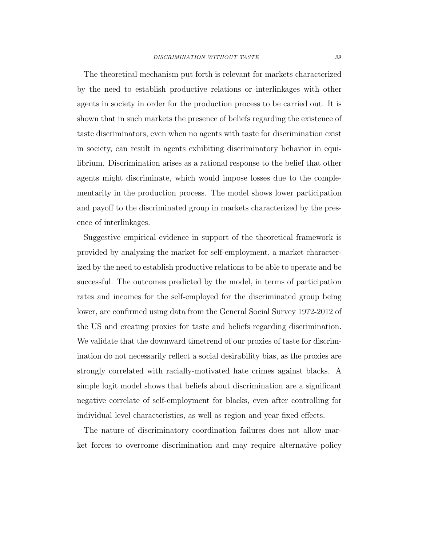The theoretical mechanism put forth is relevant for markets characterized by the need to establish productive relations or interlinkages with other agents in society in order for the production process to be carried out. It is shown that in such markets the presence of beliefs regarding the existence of taste discriminators, even when no agents with taste for discrimination exist in society, can result in agents exhibiting discriminatory behavior in equilibrium. Discrimination arises as a rational response to the belief that other agents might discriminate, which would impose losses due to the complementarity in the production process. The model shows lower participation and payoff to the discriminated group in markets characterized by the presence of interlinkages.

Suggestive empirical evidence in support of the theoretical framework is provided by analyzing the market for self-employment, a market characterized by the need to establish productive relations to be able to operate and be successful. The outcomes predicted by the model, in terms of participation rates and incomes for the self-employed for the discriminated group being lower, are confirmed using data from the General Social Survey 1972-2012 of the US and creating proxies for taste and beliefs regarding discrimination. We validate that the downward timetrend of our proxies of taste for discrimination do not necessarily reflect a social desirability bias, as the proxies are strongly correlated with racially-motivated hate crimes against blacks. A simple logit model shows that beliefs about discrimination are a significant negative correlate of self-employment for blacks, even after controlling for individual level characteristics, as well as region and year fixed effects.

The nature of discriminatory coordination failures does not allow market forces to overcome discrimination and may require alternative policy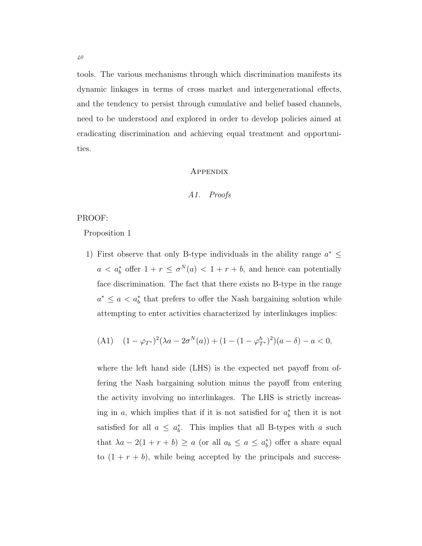tools. The various mechanisms through which discrimination manifests its dynamic linkages in terms of cross market and intergenerational effects, and the tendency to persist through cumulative and belief based channels, need to be understood and explored in order to develop policies aimed at eradicating discrimination and achieving equal treatment and opportunities.

#### **APPENDIX**

#### A1. Proofs

#### PROOF:

Proposition 1

1) First observe that only B-type individuals in the ability range  $a^* \leq$  $a < a_b^*$  offer  $1 + r \leq \sigma^N(a) < 1 + r + b$ , and hence can potentially face discrimination. The fact that there exists no B-type in the range  $a^* \leq a < a_b^*$  that prefers to offer the Nash bargaining solution while attempting to enter activities characterized by interlinkages implies:

(A1) 
$$
(1 - \varphi_{T^*})^2 (\lambda a - 2\sigma^N(a)) + (1 - (1 - \varphi_{T^*}^h)^2)(a - \delta) - a < 0,
$$

where the left hand side (LHS) is the expected net payoff from offering the Nash bargaining solution minus the payoff from entering the activity involving no interlinkages. The LHS is strictly increasing in a, which implies that if it is not satisfied for  $a_b^*$  then it is not satisfied for all  $a \leq a_b^*$ . This implies that all B-types with a such that  $\lambda a - 2(1 + r + b) \ge a$  (or all  $a_b \le a \le a_b^*$ ) offer a share equal to  $(1 + r + b)$ , while being accepted by the principals and success-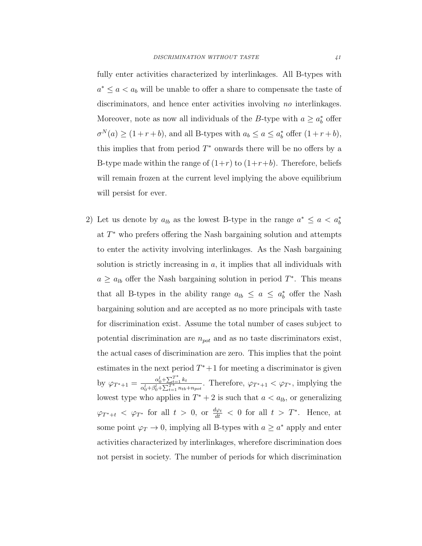fully enter activities characterized by interlinkages. All B-types with  $a^* \leq a < a_b$  will be unable to offer a share to compensate the taste of discriminators, and hence enter activities involving no interlinkages. Moreover, note as now all individuals of the B-type with  $a \ge a_b^*$  offer  $\sigma^N(a) \ge (1+r+b)$ , and all B-types with  $a_b \le a \le a_b^*$  offer  $(1+r+b)$ , this implies that from period  $T^*$  onwards there will be no offers by a B-type made within the range of  $(1+r)$  to  $(1+r+b)$ . Therefore, beliefs will remain frozen at the current level implying the above equilibrium will persist for ever.

2) Let us denote by  $a_{lb}$  as the lowest B-type in the range  $a^* \le a < a_b^*$ at  $T^*$  who prefers offering the Nash bargaining solution and attempts to enter the activity involving interlinkages. As the Nash bargaining solution is strictly increasing in  $a$ , it implies that all individuals with  $a \ge a_{lb}$  offer the Nash bargaining solution in period  $T^*$ . This means that all B-types in the ability range  $a_{lb} \le a \le a_b^*$  offer the Nash bargaining solution and are accepted as no more principals with taste for discrimination exist. Assume the total number of cases subject to potential discrimination are  $n_{pot}$  and as no taste discriminators exist, the actual cases of discrimination are zero. This implies that the point estimates in the next period  $T^*+1$  for meeting a discriminator is given by  $\varphi_{T^*+1} = \frac{\alpha_0^l + \sum_{t=1}^{T^*} k_t}{\alpha_0^l + \alpha_1^l + \sum_{t=1}^{T^*} k_t}$  $\frac{\alpha_0+\sum_{t=1}^{t} \kappa_t}{\alpha_0^l+\beta_0^l+\sum_{t=1}^{T^*} n_{tb}+n_{pot}}$ . Therefore,  $\varphi_{T^*+1} < \varphi_{T^*}$ , implying the lowest type who applies in  $T^* + 2$  is such that  $a < a_{lb}$ , or generalizing  $\varphi_{T^*+t} < \varphi_{T^*}$  for all  $t > 0$ , or  $\frac{d\varphi_t}{dt} < 0$  for all  $t > T^*$ . Hence, at some point  $\varphi_T \to 0$ , implying all B-types with  $a \geq a^*$  apply and enter activities characterized by interlinkages, wherefore discrimination does not persist in society. The number of periods for which discrimination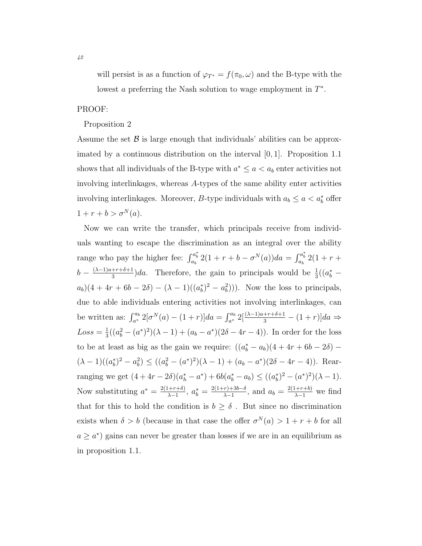will persist is as a function of  $\varphi_{T^*} = f(\pi_0, \omega)$  and the B-type with the lowest a preferring the Nash solution to wage employment in  $T^*$ .

#### PROOF:

#### Proposition 2

Assume the set  $\beta$  is large enough that individuals' abilities can be approximated by a continuous distribution on the interval [0, 1]. Proposition 1.1 shows that all individuals of the B-type with  $a^* \le a < a_b$  enter activities not involving interlinkages, whereas A-types of the same ability enter activities involving interlinkages. Moreover, B-type individuals with  $a_b \le a < a_b^*$  offer  $1 + r + b > \sigma^{N}(a)$ .

Now we can write the transfer, which principals receive from individuals wanting to escape the discrimination as an integral over the ability range who pay the higher fee:  $\int_{a_b}^{a_b^*} 2(1 + r + b - \sigma^N(a))da = \int_{a_b}^{a_b^*} 2(1 + r + b)$  $b-\frac{(\lambda-1)a+r+\delta+1}{3}$  $\frac{1+r+\delta+1}{3}$ )da. Therefore, the gain to principals would be  $\frac{1}{3}((a_b^*$  $a_b$ )(4 + 4r + 6b – 2 $\delta$ ) – ( $\lambda$  – 1)( $(a_b^*)^2 - a_b^2$ ))). Now the loss to principals, due to able individuals entering activities not involving interlinkages, can be written as:  $\int_{a^*}^{a_b} 2[\sigma^N(a) - (1+r)]da = \int_{a^*}^{a_b} 2[\frac{(\lambda-1)a+r+\delta+1}{3} - (1+r)]da \Rightarrow$  $Loss = \frac{1}{3}$  $\frac{1}{3}((a_b^2-(a^*)^2)(\lambda-1)+(a_b-a^*)(2\delta-4r-4)).$  In order for the loss to be at least as big as the gain we require:  $((a_b^* - a_b)(4 + 4r + 6b - 2\delta) (\lambda - 1)((a_b^*)^2 - a_b^2) \le ((a_b^2 - (a^*)^2)(\lambda - 1) + (a_b - a^*)(2\delta - 4r - 4)).$  Rearranging we get  $(4+4r-2\delta)(a_h^* - a^*) + 6b(a_b^* - a_b) \leq ((a_b^*)^2 - (a^*)^2)(\lambda - 1).$ Now substituting  $a^* = \frac{2(1+r+\delta)}{\lambda-1}$  $\frac{(n+r+\delta)}{\lambda-1}, \ a^*_{b} = \frac{2(1+r)+3b-\delta}{\lambda-1}$  $\frac{(r)+3b-\delta}{\lambda-1}$ , and  $a_b = \frac{2(1+r+b)}{\lambda-1}$  we find that for this to hold the condition is  $b \geq \delta$ . But since no discrimination exists when  $\delta > b$  (because in that case the offer  $\sigma^{N}(a) > 1 + r + b$  for all  $a \geq a^*$  gains can never be greater than losses if we are in an equilibrium as in proposition 1.1.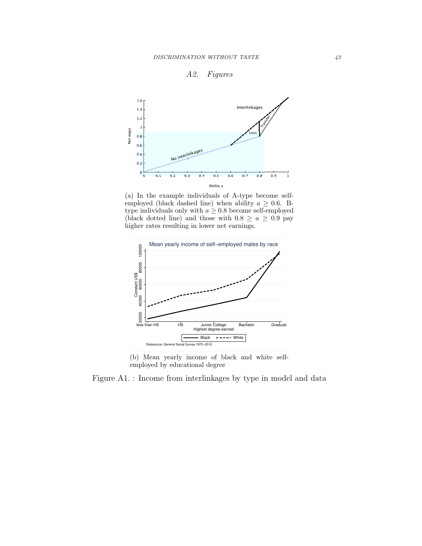<span id="page-43-0"></span>



(a) In the example individuals of A-type become selfemployed (black dashed line) when ability  $a \geq 0.6$ . Btype individuals only with  $a \geq 0.8$  become self-employed (black dotted line) and those with  $0.8 \ge a \ge 0.9$  pay higher rates resulting in lower net earnings.



(b) Mean yearly income of black and white selfemployed by educational degree

Figure A1. : Income from interlinkages by type in model and data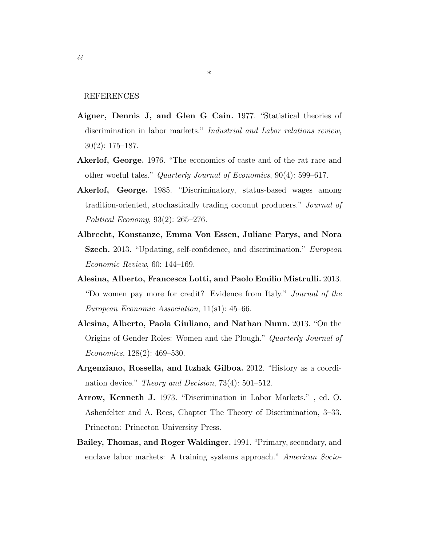REFERENCES

<span id="page-44-1"></span>Aigner, Dennis J, and Glen G Cain. 1977. "Statistical theories of discrimination in labor markets." Industrial and Labor relations review, 30(2): 175–187.

\*

- <span id="page-44-2"></span>Akerlof, George. 1976. "The economics of caste and of the rat race and other woeful tales." Quarterly Journal of Economics, 90(4): 599–617.
- <span id="page-44-3"></span>Akerlof, George. 1985. "Discriminatory, status-based wages among tradition-oriented, stochastically trading coconut producers." Journal of Political Economy, 93(2): 265–276.
- <span id="page-44-8"></span>Albrecht, Konstanze, Emma Von Essen, Juliane Parys, and Nora Szech. 2013. "Updating, self-confidence, and discrimination." European Economic Review, 60: 144–169.
- <span id="page-44-7"></span>Alesina, Alberto, Francesca Lotti, and Paolo Emilio Mistrulli. 2013. "Do women pay more for credit? Evidence from Italy." Journal of the European Economic Association, 11(s1): 45–66.
- <span id="page-44-4"></span>Alesina, Alberto, Paola Giuliano, and Nathan Nunn. 2013. "On the Origins of Gender Roles: Women and the Plough." Quarterly Journal of Economics, 128(2): 469–530.
- <span id="page-44-5"></span>Argenziano, Rossella, and Itzhak Gilboa. 2012. "History as a coordination device." Theory and Decision, 73(4): 501–512.
- <span id="page-44-0"></span>Arrow, Kenneth J. 1973. "Discrimination in Labor Markets." , ed. O. Ashenfelter and A. Rees, Chapter The Theory of Discrimination, 3–33. Princeton: Princeton University Press.
- <span id="page-44-6"></span>Bailey, Thomas, and Roger Waldinger. 1991. "Primary, secondary, and enclave labor markets: A training systems approach." American Socio-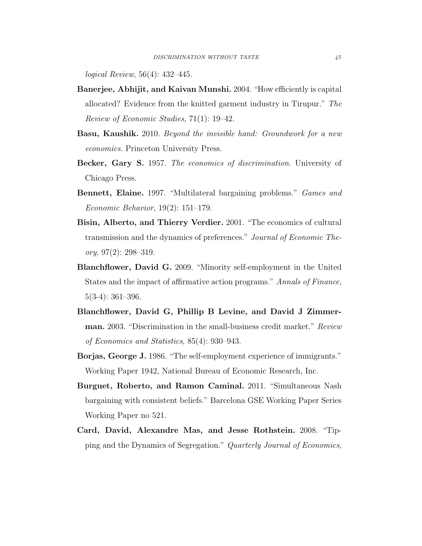logical Review, 56(4): 432–445.

- <span id="page-45-8"></span>Banerjee, Abhijit, and Kaivan Munshi. 2004. "How efficiently is capital allocated? Evidence from the knitted garment industry in Tirupur." The Review of Economic Studies, 71(1): 19–42.
- <span id="page-45-0"></span>**Basu, Kaushik.** 2010. Beyond the invisible hand: Groundwork for a new economics. Princeton University Press.
- <span id="page-45-1"></span>Becker, Gary S. 1957. The economics of discrimination. University of Chicago Press.
- <span id="page-45-2"></span>Bennett, Elaine. 1997. "Multilateral bargaining problems." *Games and* Economic Behavior, 19(2): 151–179.
- <span id="page-45-4"></span>Bisin, Alberto, and Thierry Verdier. 2001. "The economics of cultural transmission and the dynamics of preferences." Journal of Economic The- $\textit{ory}, 97(2): 298-319.$
- <span id="page-45-7"></span>Blanchflower, David G. 2009. "Minority self-employment in the United States and the impact of affirmative action programs." Annals of Finance, 5(3-4): 361–396.
- <span id="page-45-6"></span>Blanchflower, David G, Phillip B Levine, and David J Zimmerman. 2003. "Discrimination in the small-business credit market." Review of Economics and Statistics, 85(4): 930–943.
- <span id="page-45-5"></span>Borjas, George J. 1986. "The self-employment experience of immigrants." Working Paper 1942, National Bureau of Economic Research, Inc.
- <span id="page-45-3"></span>Burguet, Roberto, and Ramon Caminal. 2011. "Simultaneous Nash bargaining with consistent beliefs." Barcelona GSE Working Paper Series Working Paper no 521.
- <span id="page-45-9"></span>Card, David, Alexandre Mas, and Jesse Rothstein. 2008. "Tipping and the Dynamics of Segregation." Quarterly Journal of Economics,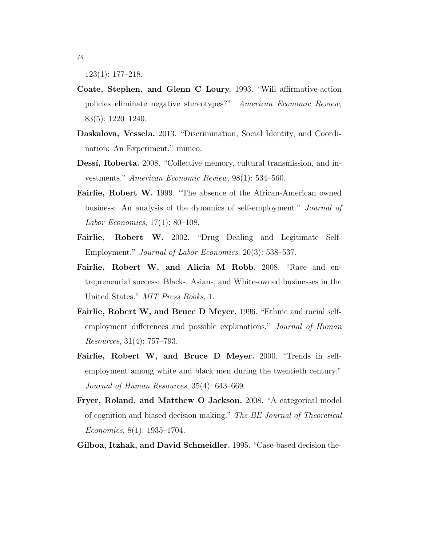123(1): 177–218.

- <span id="page-46-0"></span>Coate, Stephen, and Glenn C Loury. 1993. "Will affirmative-action policies eliminate negative stereotypes?" American Economic Review, 83(5): 1220–1240.
- <span id="page-46-9"></span>Daskalova, Vessela. 2013. "Discrimination, Social Identity, and Coordination: An Experiment." mimeo.
- <span id="page-46-3"></span>Dessí, Roberta. 2008. "Collective memory, cultural transmission, and investments." American Economic Review, 98(1): 534–560.
- <span id="page-46-4"></span>Fairlie, Robert W. 1999. "The absence of the African-American owned business: An analysis of the dynamics of self-employment." Journal of Labor Economics, 17(1): 80–108.
- <span id="page-46-8"></span>Fairlie, Robert W. 2002. "Drug Dealing and Legitimate Self-Employment." Journal of Labor Economics, 20(3): 538–537.
- <span id="page-46-7"></span>Fairlie, Robert W, and Alicia M Robb. 2008. "Race and entrepreneurial success: Black-, Asian-, and White-owned businesses in the United States." MIT Press Books, 1.
- <span id="page-46-5"></span>Fairlie, Robert W, and Bruce D Meyer. 1996. "Ethnic and racial selfemployment differences and possible explanations." Journal of Human Resources, 31(4): 757–793.
- <span id="page-46-6"></span>Fairlie, Robert W, and Bruce D Meyer. 2000. "Trends in selfemployment among white and black men during the twentieth century." Journal of Human Resources, 35(4): 643–669.
- <span id="page-46-1"></span>Fryer, Roland, and Matthew O Jackson. 2008. "A categorical model of cognition and biased decision making." The BE Journal of Theoretical Economics, 8(1): 1935–1704.
- <span id="page-46-2"></span>Gilboa, Itzhak, and David Schmeidler. 1995. "Case-based decision the-

46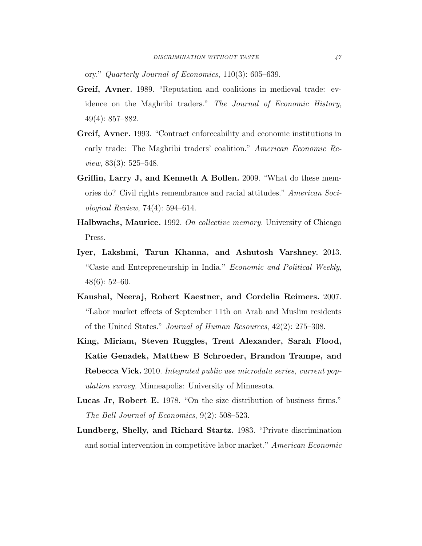ory." Quarterly Journal of Economics, 110(3): 605–639.

- <span id="page-47-7"></span>Greif, Avner. 1989. "Reputation and coalitions in medieval trade: evidence on the Maghribi traders." The Journal of Economic History, 49(4): 857–882.
- <span id="page-47-8"></span>Greif, Avner. 1993. "Contract enforceability and economic institutions in early trade: The Maghribi traders' coalition." American Economic Review, 83(3): 525–548.
- <span id="page-47-4"></span>Griffin, Larry J, and Kenneth A Bollen. 2009. "What do these memories do? Civil rights remembrance and racial attitudes." American Sociological Review, 74(4): 594–614.
- <span id="page-47-3"></span>Halbwachs, Maurice. 1992. On collective memory. University of Chicago Press.
- <span id="page-47-6"></span>Iyer, Lakshmi, Tarun Khanna, and Ashutosh Varshney. 2013. "Caste and Entrepreneurship in India." Economic and Political Weekly, 48(6): 52–60.
- <span id="page-47-2"></span>Kaushal, Neeraj, Robert Kaestner, and Cordelia Reimers. 2007. "Labor market effects of September 11th on Arab and Muslim residents of the United States." Journal of Human Resources, 42(2): 275–308.
- <span id="page-47-5"></span>King, Miriam, Steven Ruggles, Trent Alexander, Sarah Flood, Katie Genadek, Matthew B Schroeder, Brandon Trampe, and Rebecca Vick. 2010. Integrated public use microdata series, current population survey. Minneapolis: University of Minnesota.
- <span id="page-47-1"></span>Lucas Jr, Robert E. 1978. "On the size distribution of business firms." The Bell Journal of Economics, 9(2): 508–523.
- <span id="page-47-0"></span>Lundberg, Shelly, and Richard Startz. 1983. "Private discrimination and social intervention in competitive labor market." American Economic